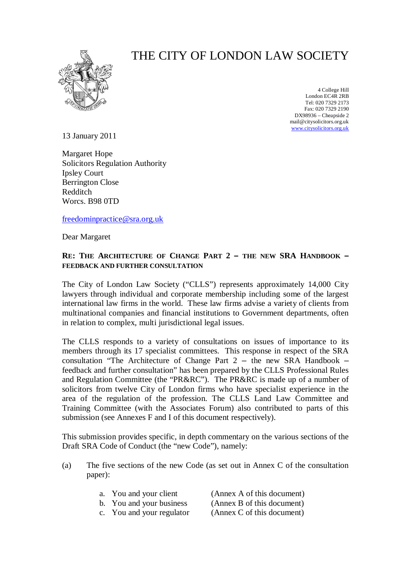

# THE CITY OF LONDON LAW SOCIETY

4 College Hill London EC4R 2RB Tel: 020 7329 2173 Fax: 020 7329 2190 DX98936 – Cheapside 2 [mail@citysolicitors.org.uk](mailto:mail@citysolicitors.org.uk) [www.citysolicitors.org.uk](http://www.citysolicitors.org.uk)

13 January 2011

Margaret Hope Solicitors Regulation Authority Ipsley Court Berrington Close Redditch Worcs. B98 0TD

[freedominpractice@sra.org.uk](mailto:freedominpractice@sra.org.uk)

Dear Margaret

# **RE: THE ARCHITECTURE OF CHANGE PART 2 – THE NEW SRA HANDBOOK – FEEDBACK AND FURTHER CONSULTATION**

The City of London Law Society ("CLLS") represents approximately 14,000 City lawyers through individual and corporate membership including some of the largest international law firms in the world. These law firms advise a variety of clients from multinational companies and financial institutions to Government departments, often in relation to complex, multi jurisdictional legal issues.

The CLLS responds to a variety of consultations on issues of importance to its members through its 17 specialist committees. This response in respect of the SRA consultation "The Architecture of Change Part 2 – the new SRA Handbook – feedback and further consultation" has been prepared by the CLLS Professional Rules and Regulation Committee (the "PR&RC"). The PR&RC is made up of a number of solicitors from twelve City of London firms who have specialist experience in the area of the regulation of the profession. The CLLS Land Law Committee and Training Committee (with the Associates Forum) also contributed to parts of this submission (see Annexes F and I of this document respectively).

This submission provides specific, in depth commentary on the various sections of the Draft SRA Code of Conduct (the "new Code"), namely:

(a) The five sections of the new Code (as set out in Annex C of the consultation paper):

| a. You and your client    | (Annex A of this document) |
|---------------------------|----------------------------|
| b. You and your business  | (Annex B of this document) |
| c. You and your regulator | (Annex C of this document) |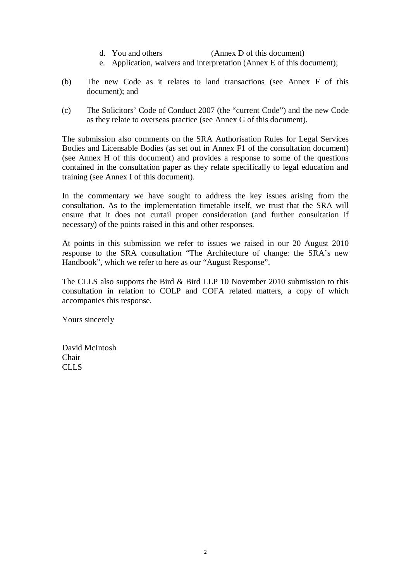- d. You and others (Annex D of this document)
- e. Application, waivers and interpretation (Annex E of this document);
- (b) The new Code as it relates to land transactions (see Annex F of this document); and
- (c) The Solicitors' Code of Conduct 2007 (the "current Code") and the new Code as they relate to overseas practice (see Annex G of this document).

The submission also comments on the SRA Authorisation Rules for Legal Services Bodies and Licensable Bodies (as set out in Annex F1 of the consultation document) (see Annex H of this document) and provides a response to some of the questions contained in the consultation paper as they relate specifically to legal education and training (see Annex I of this document).

In the commentary we have sought to address the key issues arising from the consultation. As to the implementation timetable itself, we trust that the SRA will ensure that it does not curtail proper consideration (and further consultation if necessary) of the points raised in this and other responses.

At points in this submission we refer to issues we raised in our 20 August 2010 response to the SRA consultation "The Architecture of change: the SRA's new Handbook", which we refer to here as our "August Response".

The CLLS also supports the Bird & Bird LLP 10 November 2010 submission to this consultation in relation to COLP and COFA related matters, a copy of which accompanies this response.

Yours sincerely

David McIntosh Chair CLLS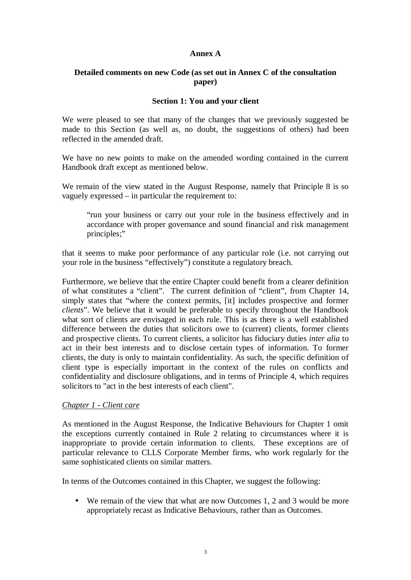# **Annex A**

# **Detailed comments on new Code (as set out in Annex C of the consultation paper)**

# **Section 1: You and your client**

We were pleased to see that many of the changes that we previously suggested be made to this Section (as well as, no doubt, the suggestions of others) had been reflected in the amended draft.

We have no new points to make on the amended wording contained in the current Handbook draft except as mentioned below.

We remain of the view stated in the August Response, namely that Principle 8 is so vaguely expressed – in particular the requirement to:

"run your business or carry out your role in the business effectively and in accordance with proper governance and sound financial and risk management principles;"

that it seems to make poor performance of any particular role (i.e. not carrying out your role in the business "effectively") constitute a regulatory breach.

Furthermore, we believe that the entire Chapter could benefit from a clearer definition of what constitutes a "client". The current definition of "client", from Chapter 14, simply states that "where the context permits, [it] includes prospective and former *clients*". We believe that it would be preferable to specify throughout the Handbook what sort of clients are envisaged in each rule. This is as there is a well established difference between the duties that solicitors owe to (current) clients, former clients and prospective clients. To current clients, a solicitor has fiduciary duties *inter alia* to act in their best interests and to disclose certain types of information. To former clients, the duty is only to maintain confidentiality. As such, the specific definition of client type is especially important in the context of the rules on conflicts and confidentiality and disclosure obligations, and in terms of Principle 4, which requires solicitors to "act in the best interests of each client".

#### *Chapter 1 - Client care*

As mentioned in the August Response, the Indicative Behaviours for Chapter 1 omit the exceptions currently contained in Rule 2 relating to circumstances where it is inappropriate to provide certain information to clients. These exceptions are of particular relevance to CLLS Corporate Member firms, who work regularly for the same sophisticated clients on similar matters.

In terms of the Outcomes contained in this Chapter, we suggest the following:

We remain of the view that what are now Outcomes 1, 2 and 3 would be more appropriately recast as Indicative Behaviours, rather than as Outcomes.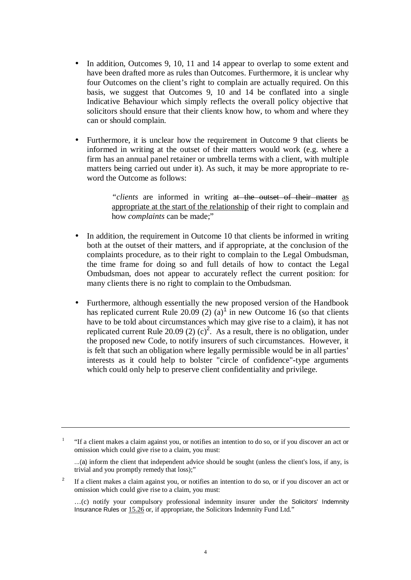- In addition, Outcomes 9, 10, 11 and 14 appear to overlap to some extent and have been drafted more as rules than Outcomes. Furthermore, it is unclear why four Outcomes on the client's right to complain are actually required. On this basis, we suggest that Outcomes 9, 10 and 14 be conflated into a single Indicative Behaviour which simply reflects the overall policy objective that solicitors should ensure that their clients know how, to whom and where they can or should complain.
- Furthermore, it is unclear how the requirement in Outcome 9 that clients be informed in writing at the outset of their matters would work (e.g. where a firm has an annual panel retainer or umbrella terms with a client, with multiple matters being carried out under it). As such, it may be more appropriate to reword the Outcome as follows:

*"clients* are informed in writing at the outset of their matter as appropriate at the start of the relationship of their right to complain and how *complaints* can be made;"

- In addition, the requirement in Outcome 10 that clients be informed in writing both at the outset of their matters, and if appropriate, at the conclusion of the complaints procedure, as to their right to complain to the Legal Ombudsman, the time frame for doing so and full details of how to contact the Legal Ombudsman, does not appear to accurately reflect the current position: for many clients there is no right to complain to the Ombudsman.
- Furthermore, although essentially the new proposed version of the Handbook has replicated current Rule 20.09 (2) (a)<sup>1</sup> in new Outcome 16 (so that clients have to be told about circumstances which may give rise to a claim), it has not replicated current Rule 20.09 (2) (c)<sup>2</sup>. As a result, there is no obligation, under the proposed new Code, to notify insurers of such circumstances. However, it is felt that such an obligation where legally permissible would be in all parties' interests as it could help to bolster "circle of confidence"-type arguments which could only help to preserve client confidentiality and privilege.

<sup>1</sup> "If a client makes a claim against you, or notifies an intention to do so, or if you discover an act or omission which could give rise to a claim, you must:

 <sup>...(</sup>a) inform the client that independent advice should be sought (unless the client's loss, if any, is trivial and you promptly remedy that loss);"

<sup>2</sup> If a client makes a claim against you, or notifies an intention to do so, or if you discover an act or omission which could give rise to a claim, you must:

 <sup>…(</sup>c) notify your compulsory professional indemnity insurer under the Solicitors' Indemnity Insurance Rules or 15.26 or, if appropriate, the Solicitors Indemnity Fund Ltd."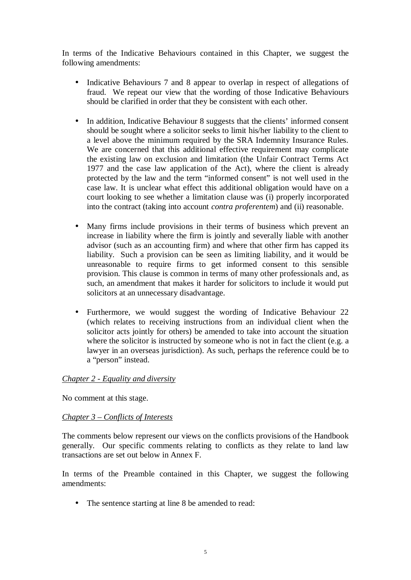In terms of the Indicative Behaviours contained in this Chapter, we suggest the following amendments:

- Indicative Behaviours 7 and 8 appear to overlap in respect of allegations of fraud. We repeat our view that the wording of those Indicative Behaviours should be clarified in order that they be consistent with each other.
- In addition, Indicative Behaviour 8 suggests that the clients' informed consent should be sought where a solicitor seeks to limit his/her liability to the client to a level above the minimum required by the SRA Indemnity Insurance Rules. We are concerned that this additional effective requirement may complicate the existing law on exclusion and limitation (the Unfair Contract Terms Act 1977 and the case law application of the Act), where the client is already protected by the law and the term "informed consent" is not well used in the case law. It is unclear what effect this additional obligation would have on a court looking to see whether a limitation clause was (i) properly incorporated into the contract (taking into account *contra proferentem*) and (ii) reasonable.
- Many firms include provisions in their terms of business which prevent an increase in liability where the firm is jointly and severally liable with another advisor (such as an accounting firm) and where that other firm has capped its liability. Such a provision can be seen as limiting liability, and it would be unreasonable to require firms to get informed consent to this sensible provision. This clause is common in terms of many other professionals and, as such, an amendment that makes it harder for solicitors to include it would put solicitors at an unnecessary disadvantage.
- Furthermore, we would suggest the wording of Indicative Behaviour 22 (which relates to receiving instructions from an individual client when the solicitor acts jointly for others) be amended to take into account the situation where the solicitor is instructed by someone who is not in fact the client (e.g. a lawyer in an overseas jurisdiction). As such, perhaps the reference could be to a "person" instead.

# *Chapter 2 - Equality and diversity*

No comment at this stage.

# *Chapter 3 – Conflicts of Interests*

The comments below represent our views on the conflicts provisions of the Handbook generally. Our specific comments relating to conflicts as they relate to land law transactions are set out below in Annex F.

In terms of the Preamble contained in this Chapter, we suggest the following amendments:

• The sentence starting at line 8 be amended to read: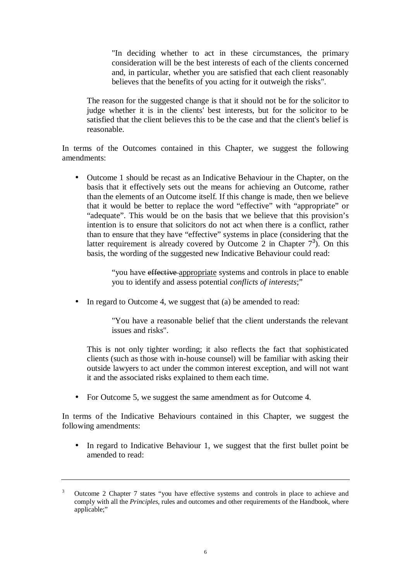"In deciding whether to act in these circumstances, the primary consideration will be the best interests of each of the clients concerned and, in particular, whether you are satisfied that each client reasonably believes that the benefits of you acting for it outweigh the risks".

The reason for the suggested change is that it should not be for the solicitor to judge whether it is in the clients' best interests, but for the solicitor to be satisfied that the client believes this to be the case and that the client's belief is reasonable.

In terms of the Outcomes contained in this Chapter, we suggest the following amendments:

• Outcome 1 should be recast as an Indicative Behaviour in the Chapter, on the basis that it effectively sets out the means for achieving an Outcome, rather than the elements of an Outcome itself. If this change is made, then we believe that it would be better to replace the word "effective" with "appropriate" or "adequate". This would be on the basis that we believe that this provision's intention is to ensure that solicitors do not act when there is a conflict, rather than to ensure that they have "effective" systems in place (considering that the latter requirement is already covered by Outcome 2 in Chapter  $7<sup>3</sup>$ . On this basis, the wording of the suggested new Indicative Behaviour could read:

> "you have effective appropriate systems and controls in place to enable you to identify and assess potential *conflicts of interests*;"

• In regard to Outcome 4, we suggest that (a) be amended to read:

"You have a reasonable belief that the client understands the relevant issues and risks".

This is not only tighter wording; it also reflects the fact that sophisticated clients (such as those with in-house counsel) will be familiar with asking their outside lawyers to act under the common interest exception, and will not want it and the associated risks explained to them each time.

• For Outcome 5, we suggest the same amendment as for Outcome 4.

In terms of the Indicative Behaviours contained in this Chapter, we suggest the following amendments:

• In regard to Indicative Behaviour 1, we suggest that the first bullet point be amended to read:

<sup>3</sup> Outcome 2 Chapter 7 states "you have effective systems and controls in place to achieve and comply with all the *Principles*, rules and outcomes and other requirements of the Handbook, where applicable;"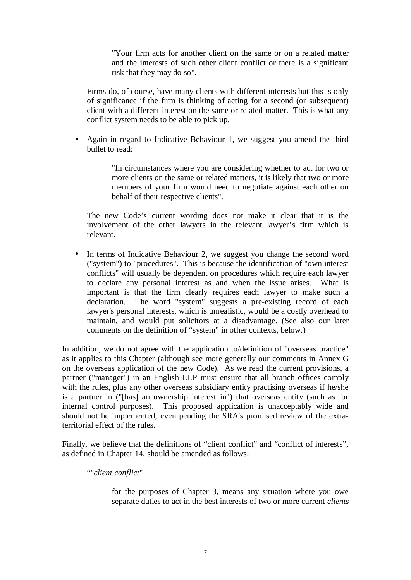"Your firm acts for another client on the same or on a related matter and the interests of such other client conflict or there is a significant risk that they may do so".

Firms do, of course, have many clients with different interests but this is only of significance if the firm is thinking of acting for a second (or subsequent) client with a different interest on the same or related matter. This is what any conflict system needs to be able to pick up.

• Again in regard to Indicative Behaviour 1, we suggest you amend the third bullet to read:

> "In circumstances where you are considering whether to act for two or more clients on the same or related matters, it is likely that two or more members of your firm would need to negotiate against each other on behalf of their respective clients".

The new Code's current wording does not make it clear that it is the involvement of the other lawyers in the relevant lawyer's firm which is relevant.

• In terms of Indicative Behaviour 2, we suggest you change the second word ("system") to "procedures". This is because the identification of "own interest conflicts" will usually be dependent on procedures which require each lawyer to declare any personal interest as and when the issue arises. What is important is that the firm clearly requires each lawyer to make such a declaration. The word "system" suggests a pre-existing record of each lawyer's personal interests, which is unrealistic, would be a costly overhead to maintain, and would put solicitors at a disadvantage. (See also our later comments on the definition of "system" in other contexts, below.)

In addition, we do not agree with the application to/definition of "overseas practice" as it applies to this Chapter (although see more generally our comments in Annex G on the overseas application of the new Code). As we read the current provisions, a partner ("manager") in an English LLP must ensure that all branch offices comply with the rules, plus any other overseas subsidiary entity practising overseas if he/she is a partner in ("[has] an ownership interest in") that overseas entity (such as for internal control purposes). This proposed application is unacceptably wide and should not be implemented, even pending the SRA's promised review of the extraterritorial effect of the rules.

Finally, we believe that the definitions of "client conflict" and "conflict of interests", as defined in Chapter 14, should be amended as follows:

# ""*client conflict*"

for the purposes of Chapter 3, means any situation where you owe separate duties to act in the best interests of two or more current *clients*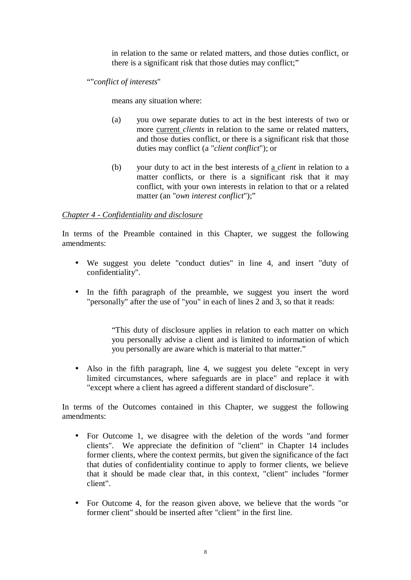in relation to the same or related matters, and those duties conflict, or there is a significant risk that those duties may conflict;"

""*conflict of interests*"

means any situation where:

- (a) you owe separate duties to act in the best interests of two or more current *clients* in relation to the same or related matters, and those duties conflict, or there is a significant risk that those duties may conflict (a "*client conflict*"); or
- (b) your duty to act in the best interests of a *client* in relation to a matter conflicts, or there is a significant risk that it may conflict, with your own interests in relation to that or a related matter (an "*own interest conflict*");"

# *Chapter 4 - Confidentiality and disclosure*

In terms of the Preamble contained in this Chapter, we suggest the following amendments:

- We suggest you delete "conduct duties" in line 4, and insert "duty of confidentiality".
- In the fifth paragraph of the preamble, we suggest you insert the word "personally" after the use of "you" in each of lines 2 and 3, so that it reads:

"This duty of disclosure applies in relation to each matter on which you personally advise a client and is limited to information of which you personally are aware which is material to that matter."

• Also in the fifth paragraph, line 4, we suggest you delete "except in very limited circumstances, where safeguards are in place" and replace it with "except where a client has agreed a different standard of disclosure".

In terms of the Outcomes contained in this Chapter, we suggest the following amendments:

- For Outcome 1, we disagree with the deletion of the words "and former clients". We appreciate the definition of "client" in Chapter 14 includes former clients, where the context permits, but given the significance of the fact that duties of confidentiality continue to apply to former clients, we believe that it should be made clear that, in this context, "client" includes "former client".
- For Outcome 4, for the reason given above, we believe that the words "or former client" should be inserted after "client" in the first line.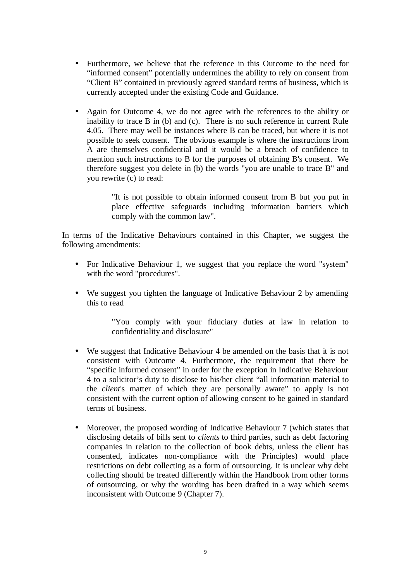- Furthermore, we believe that the reference in this Outcome to the need for "informed consent" potentially undermines the ability to rely on consent from "Client B" contained in previously agreed standard terms of business, which is currently accepted under the existing Code and Guidance.
- Again for Outcome 4, we do not agree with the references to the ability or inability to trace B in (b) and (c). There is no such reference in current Rule 4.05. There may well be instances where B can be traced, but where it is not possible to seek consent. The obvious example is where the instructions from A are themselves confidential and it would be a breach of confidence to mention such instructions to B for the purposes of obtaining B's consent. We therefore suggest you delete in (b) the words "you are unable to trace B" and you rewrite (c) to read:

"It is not possible to obtain informed consent from B but you put in place effective safeguards including information barriers which comply with the common law".

In terms of the Indicative Behaviours contained in this Chapter, we suggest the following amendments:

- For Indicative Behaviour 1, we suggest that you replace the word "system" with the word "procedures".
- We suggest you tighten the language of Indicative Behaviour 2 by amending this to read

"You comply with your fiduciary duties at law in relation to confidentiality and disclosure"

- We suggest that Indicative Behaviour 4 be amended on the basis that it is not consistent with Outcome 4. Furthermore, the requirement that there be "specific informed consent" in order for the exception in Indicative Behaviour 4 to a solicitor's duty to disclose to his/her client "all information material to the *client*'s matter of which they are personally aware" to apply is not consistent with the current option of allowing consent to be gained in standard terms of business.
- Moreover, the proposed wording of Indicative Behaviour 7 (which states that disclosing details of bills sent to *clients* to third parties, such as debt factoring companies in relation to the collection of book debts, unless the client has consented, indicates non-compliance with the Principles) would place restrictions on debt collecting as a form of outsourcing. It is unclear why debt collecting should be treated differently within the Handbook from other forms of outsourcing, or why the wording has been drafted in a way which seems inconsistent with Outcome 9 (Chapter 7).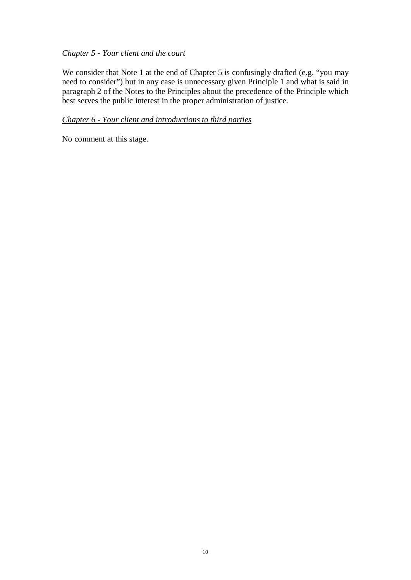# *Chapter 5 - Your client and the court*

We consider that Note 1 at the end of Chapter 5 is confusingly drafted (e.g. "you may need to consider") but in any case is unnecessary given Principle 1 and what is said in paragraph 2 of the Notes to the Principles about the precedence of the Principle which best serves the public interest in the proper administration of justice.

# *Chapter 6 - Your client and introductions to third parties*

No comment at this stage.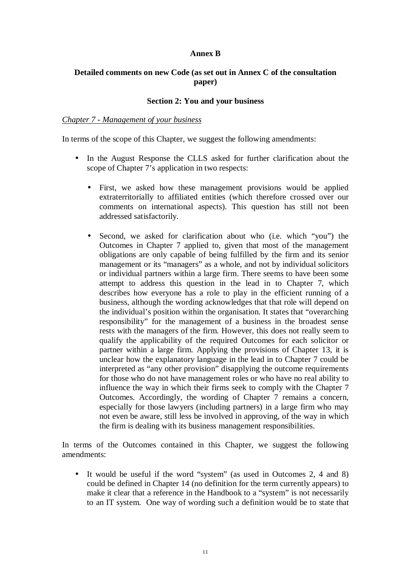# **Annex B**

# **Detailed comments on new Code (as set out in Annex C of the consultation paper)**

## **Section 2: You and your business**

## *Chapter 7 - Management of your business*

In terms of the scope of this Chapter, we suggest the following amendments:

- In the August Response the CLLS asked for further clarification about the scope of Chapter 7's application in two respects:
	- First, we asked how these management provisions would be applied extraterritorially to affiliated entities (which therefore crossed over our comments on international aspects). This question has still not been addressed satisfactorily.
	- Second, we asked for clarification about who (i.e. which "you") the Outcomes in Chapter 7 applied to, given that most of the management obligations are only capable of being fulfilled by the firm and its senior management or its "managers" as a whole, and not by individual solicitors or individual partners within a large firm. There seems to have been some attempt to address this question in the lead in to Chapter 7, which describes how everyone has a role to play in the efficient running of a business, although the wording acknowledges that that role will depend on the individual's position within the organisation. It states that "overarching responsibility" for the management of a business in the broadest sense rests with the managers of the firm. However, this does not really seem to qualify the applicability of the required Outcomes for each solicitor or partner within a large firm. Applying the provisions of Chapter 13, it is unclear how the explanatory language in the lead in to Chapter 7 could be interpreted as "any other provision" disapplying the outcome requirements for those who do not have management roles or who have no real ability to influence the way in which their firms seek to comply with the Chapter 7 Outcomes. Accordingly, the wording of Chapter 7 remains a concern, especially for those lawyers (including partners) in a large firm who may not even be aware, still less be involved in approving, of the way in which the firm is dealing with its business management responsibilities.

In terms of the Outcomes contained in this Chapter, we suggest the following amendments:

• It would be useful if the word "system" (as used in Outcomes 2, 4 and 8) could be defined in Chapter 14 (no definition for the term currently appears) to make it clear that a reference in the Handbook to a "system" is not necessarily to an IT system. One way of wording such a definition would be to state that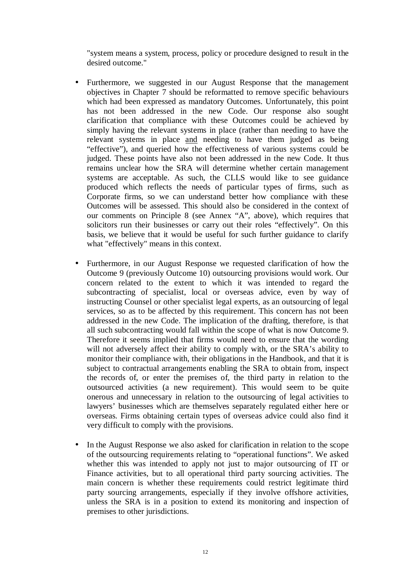"system means a system, process, policy or procedure designed to result in the desired outcome."

- Furthermore, we suggested in our August Response that the management objectives in Chapter 7 should be reformatted to remove specific behaviours which had been expressed as mandatory Outcomes. Unfortunately, this point has not been addressed in the new Code. Our response also sought clarification that compliance with these Outcomes could be achieved by simply having the relevant systems in place (rather than needing to have the relevant systems in place and needing to have them judged as being "effective"), and queried how the effectiveness of various systems could be judged. These points have also not been addressed in the new Code. It thus remains unclear how the SRA will determine whether certain management systems are acceptable. As such, the CLLS would like to see guidance produced which reflects the needs of particular types of firms, such as Corporate firms, so we can understand better how compliance with these Outcomes will be assessed. This should also be considered in the context of our comments on Principle 8 (see Annex "A", above), which requires that solicitors run their businesses or carry out their roles "effectively". On this basis, we believe that it would be useful for such further guidance to clarify what "effectively" means in this context.
- Furthermore, in our August Response we requested clarification of how the Outcome 9 (previously Outcome 10) outsourcing provisions would work. Our concern related to the extent to which it was intended to regard the subcontracting of specialist, local or overseas advice, even by way of instructing Counsel or other specialist legal experts, as an outsourcing of legal services, so as to be affected by this requirement. This concern has not been addressed in the new Code. The implication of the drafting, therefore, is that all such subcontracting would fall within the scope of what is now Outcome 9. Therefore it seems implied that firms would need to ensure that the wording will not adversely affect their ability to comply with, or the SRA's ability to monitor their compliance with, their obligations in the Handbook, and that it is subject to contractual arrangements enabling the SRA to obtain from, inspect the records of, or enter the premises of, the third party in relation to the outsourced activities (a new requirement). This would seem to be quite onerous and unnecessary in relation to the outsourcing of legal activities to lawyers' businesses which are themselves separately regulated either here or overseas. Firms obtaining certain types of overseas advice could also find it very difficult to comply with the provisions.
- In the August Response we also asked for clarification in relation to the scope of the outsourcing requirements relating to "operational functions". We asked whether this was intended to apply not just to major outsourcing of IT or Finance activities, but to all operational third party sourcing activities. The main concern is whether these requirements could restrict legitimate third party sourcing arrangements, especially if they involve offshore activities, unless the SRA is in a position to extend its monitoring and inspection of premises to other jurisdictions.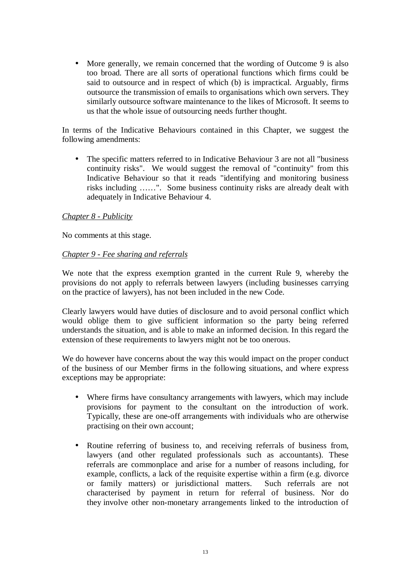• More generally, we remain concerned that the wording of Outcome 9 is also too broad. There are all sorts of operational functions which firms could be said to outsource and in respect of which (b) is impractical. Arguably, firms outsource the transmission of emails to organisations which own servers. They similarly outsource software maintenance to the likes of Microsoft. It seems to us that the whole issue of outsourcing needs further thought.

In terms of the Indicative Behaviours contained in this Chapter, we suggest the following amendments:

• The specific matters referred to in Indicative Behaviour 3 are not all "business" continuity risks". We would suggest the removal of "continuity" from this Indicative Behaviour so that it reads "identifying and monitoring business risks including ……". Some business continuity risks are already dealt with adequately in Indicative Behaviour 4.

# *Chapter 8 - Publicity*

No comments at this stage.

# *Chapter 9 - Fee sharing and referrals*

We note that the express exemption granted in the current Rule 9, whereby the provisions do not apply to referrals between lawyers (including businesses carrying on the practice of lawyers), has not been included in the new Code.

Clearly lawyers would have duties of disclosure and to avoid personal conflict which would oblige them to give sufficient information so the party being referred understands the situation, and is able to make an informed decision. In this regard the extension of these requirements to lawyers might not be too onerous.

We do however have concerns about the way this would impact on the proper conduct of the business of our Member firms in the following situations, and where express exceptions may be appropriate:

- Where firms have consultancy arrangements with lawyers, which may include provisions for payment to the consultant on the introduction of work. Typically, these are one-off arrangements with individuals who are otherwise practising on their own account;
- Routine referring of business to, and receiving referrals of business from, lawyers (and other regulated professionals such as accountants). These referrals are commonplace and arise for a number of reasons including, for example, conflicts, a lack of the requisite expertise within a firm (e.g. divorce or family matters) or jurisdictional matters. Such referrals are not characterised by payment in return for referral of business. Nor do they involve other non-monetary arrangements linked to the introduction of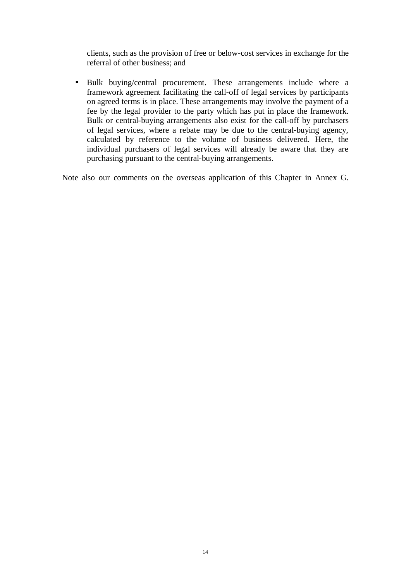clients, such as the provision of free or below-cost services in exchange for the referral of other business; and

• Bulk buying/central procurement. These arrangements include where a framework agreement facilitating the call-off of legal services by participants on agreed terms is in place. These arrangements may involve the payment of a fee by the legal provider to the party which has put in place the framework. Bulk or central-buying arrangements also exist for the call-off by purchasers of legal services, where a rebate may be due to the central-buying agency, calculated by reference to the volume of business delivered. Here, the individual purchasers of legal services will already be aware that they are purchasing pursuant to the central-buying arrangements.

Note also our comments on the overseas application of this Chapter in Annex G.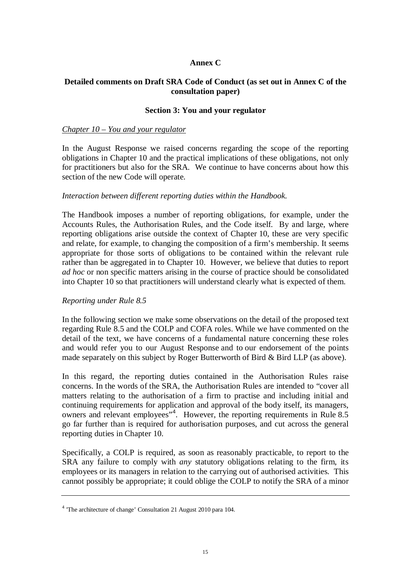# **Annex C**

# **Detailed comments on Draft SRA Code of Conduct (as set out in Annex C of the consultation paper)**

# **Section 3: You and your regulator**

#### *Chapter 10 – You and your regulator*

In the August Response we raised concerns regarding the scope of the reporting obligations in Chapter 10 and the practical implications of these obligations, not only for practitioners but also for the SRA. We continue to have concerns about how this section of the new Code will operate.

#### *Interaction between different reporting duties within the Handbook.*

The Handbook imposes a number of reporting obligations, for example, under the Accounts Rules, the Authorisation Rules, and the Code itself. By and large, where reporting obligations arise outside the context of Chapter 10, these are very specific and relate, for example, to changing the composition of a firm's membership. It seems appropriate for those sorts of obligations to be contained within the relevant rule rather than be aggregated in to Chapter 10. However, we believe that duties to report *ad hoc* or non specific matters arising in the course of practice should be consolidated into Chapter 10 so that practitioners will understand clearly what is expected of them.

#### *Reporting under Rule 8.5*

In the following section we make some observations on the detail of the proposed text regarding Rule 8.5 and the COLP and COFA roles. While we have commented on the detail of the text, we have concerns of a fundamental nature concerning these roles and would refer you to our August Response and to our endorsement of the points made separately on this subject by Roger Butterworth of Bird & Bird LLP (as above).

In this regard, the reporting duties contained in the Authorisation Rules raise concerns. In the words of the SRA, the Authorisation Rules are intended to "cover all matters relating to the authorisation of a firm to practise and including initial and continuing requirements for application and approval of the body itself, its managers, owners and relevant employees"<sup>4</sup>. However, the reporting requirements in Rule 8.5 go far further than is required for authorisation purposes, and cut across the general reporting duties in Chapter 10.

Specifically, a COLP is required, as soon as reasonably practicable, to report to the SRA any failure to comply with *any* statutory obligations relating to the firm, its employees or its managers in relation to the carrying out of authorised activities. This cannot possibly be appropriate; it could oblige the COLP to notify the SRA of a minor

<sup>&</sup>lt;sup>4</sup> 'The architecture of change' Consultation 21 August 2010 para 104.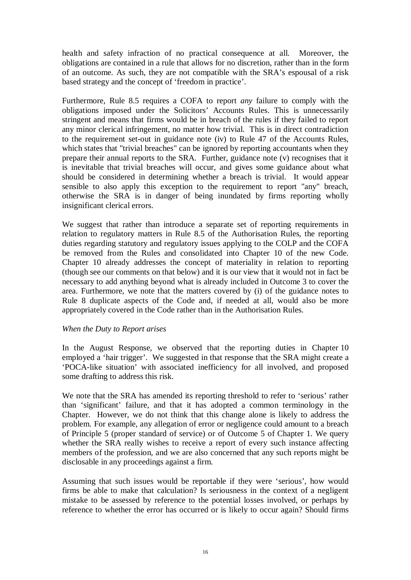health and safety infraction of no practical consequence at all. Moreover, the obligations are contained in a rule that allows for no discretion, rather than in the form of an outcome. As such, they are not compatible with the SRA's espousal of a risk based strategy and the concept of 'freedom in practice'.

Furthermore, Rule 8.5 requires a COFA to report *any* failure to comply with the obligations imposed under the Solicitors' Accounts Rules. This is unnecessarily stringent and means that firms would be in breach of the rules if they failed to report any minor clerical infringement, no matter how trivial. This is in direct contradiction to the requirement set-out in guidance note (iv) to Rule 47 of the Accounts Rules, which states that "trivial breaches" can be ignored by reporting accountants when they prepare their annual reports to the SRA. Further, guidance note (v) recognises that it is inevitable that trivial breaches will occur, and gives some guidance about what should be considered in determining whether a breach is trivial. It would appear sensible to also apply this exception to the requirement to report "any" breach, otherwise the SRA is in danger of being inundated by firms reporting wholly insignificant clerical errors.

We suggest that rather than introduce a separate set of reporting requirements in relation to regulatory matters in Rule 8.5 of the Authorisation Rules, the reporting duties regarding statutory and regulatory issues applying to the COLP and the COFA be removed from the Rules and consolidated into Chapter 10 of the new Code. Chapter 10 already addresses the concept of materiality in relation to reporting (though see our comments on that below) and it is our view that it would not in fact be necessary to add anything beyond what is already included in Outcome 3 to cover the area. Furthermore, we note that the matters covered by (i) of the guidance notes to Rule 8 duplicate aspects of the Code and, if needed at all, would also be more appropriately covered in the Code rather than in the Authorisation Rules.

# *When the Duty to Report arises*

In the August Response, we observed that the reporting duties in Chapter 10 employed a 'hair trigger'. We suggested in that response that the SRA might create a 'POCA-like situation' with associated inefficiency for all involved, and proposed some drafting to address this risk.

We note that the SRA has amended its reporting threshold to refer to 'serious' rather than 'significant' failure, and that it has adopted a common terminology in the Chapter. However, we do not think that this change alone is likely to address the problem. For example, any allegation of error or negligence could amount to a breach of Principle 5 (proper standard of service) or of Outcome 5 of Chapter 1. We query whether the SRA really wishes to receive a report of every such instance affecting members of the profession, and we are also concerned that any such reports might be disclosable in any proceedings against a firm.

Assuming that such issues would be reportable if they were 'serious', how would firms be able to make that calculation? Is seriousness in the context of a negligent mistake to be assessed by reference to the potential losses involved, or perhaps by reference to whether the error has occurred or is likely to occur again? Should firms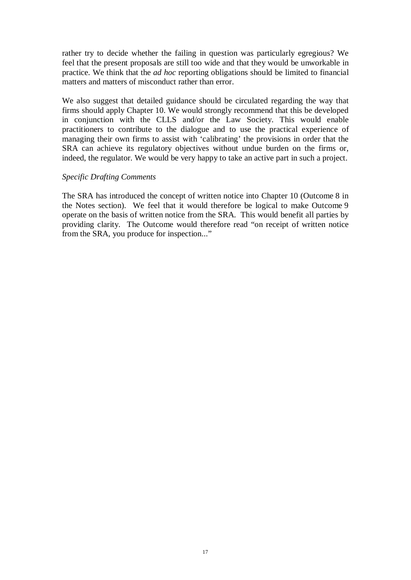rather try to decide whether the failing in question was particularly egregious? We feel that the present proposals are still too wide and that they would be unworkable in practice. We think that the *ad hoc* reporting obligations should be limited to financial matters and matters of misconduct rather than error.

We also suggest that detailed guidance should be circulated regarding the way that firms should apply Chapter 10. We would strongly recommend that this be developed in conjunction with the CLLS and/or the Law Society. This would enable practitioners to contribute to the dialogue and to use the practical experience of managing their own firms to assist with 'calibrating' the provisions in order that the SRA can achieve its regulatory objectives without undue burden on the firms or, indeed, the regulator. We would be very happy to take an active part in such a project.

# *Specific Drafting Comments*

The SRA has introduced the concept of written notice into Chapter 10 (Outcome 8 in the Notes section). We feel that it would therefore be logical to make Outcome 9 operate on the basis of written notice from the SRA. This would benefit all parties by providing clarity. The Outcome would therefore read "on receipt of written notice from the SRA, you produce for inspection..."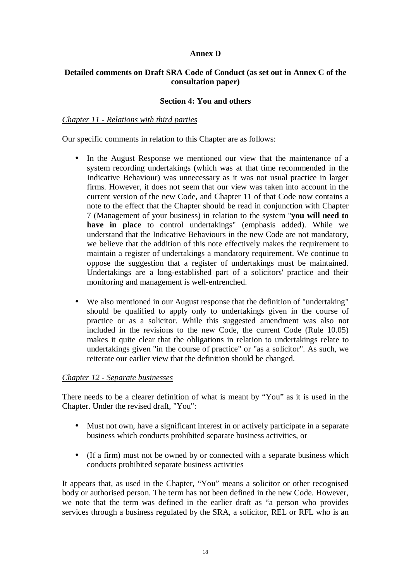# **Annex D**

# **Detailed comments on Draft SRA Code of Conduct (as set out in Annex C of the consultation paper)**

# **Section 4: You and others**

# *Chapter 11 - Relations with third parties*

Our specific comments in relation to this Chapter are as follows:

- In the August Response we mentioned our view that the maintenance of a system recording undertakings (which was at that time recommended in the Indicative Behaviour) was unnecessary as it was not usual practice in larger firms. However, it does not seem that our view was taken into account in the current version of the new Code, and Chapter 11 of that Code now contains a note to the effect that the Chapter should be read in conjunction with Chapter 7 (Management of your business) in relation to the system "**you will need to have in place** to control undertakings" (emphasis added). While we understand that the Indicative Behaviours in the new Code are not mandatory, we believe that the addition of this note effectively makes the requirement to maintain a register of undertakings a mandatory requirement. We continue to oppose the suggestion that a register of undertakings must be maintained. Undertakings are a long-established part of a solicitors' practice and their monitoring and management is well-entrenched.
- We also mentioned in our August response that the definition of "undertaking" should be qualified to apply only to undertakings given in the course of practice or as a solicitor. While this suggested amendment was also not included in the revisions to the new Code, the current Code (Rule 10.05) makes it quite clear that the obligations in relation to undertakings relate to undertakings given "in the course of practice" or "as a solicitor". As such, we reiterate our earlier view that the definition should be changed.

# *Chapter 12 - Separate businesses*

There needs to be a clearer definition of what is meant by "You" as it is used in the Chapter. Under the revised draft, "You":

- Must not own, have a significant interest in or actively participate in a separate business which conducts prohibited separate business activities, or
- (If a firm) must not be owned by or connected with a separate business which conducts prohibited separate business activities

It appears that, as used in the Chapter, "You" means a solicitor or other recognised body or authorised person. The term has not been defined in the new Code. However, we note that the term was defined in the earlier draft as "a person who provides services through a business regulated by the SRA, a solicitor, REL or RFL who is an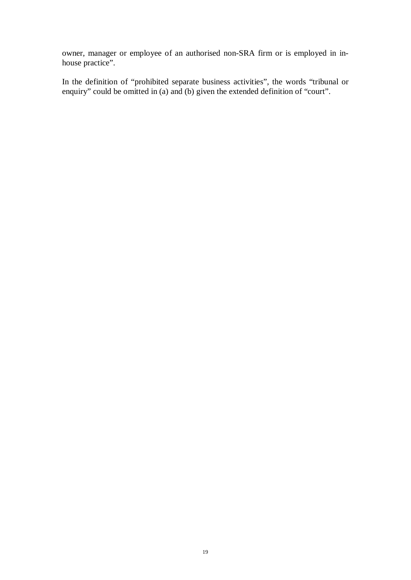owner, manager or employee of an authorised non-SRA firm or is employed in inhouse practice".

In the definition of "prohibited separate business activities", the words "tribunal or enquiry" could be omitted in (a) and (b) given the extended definition of "court".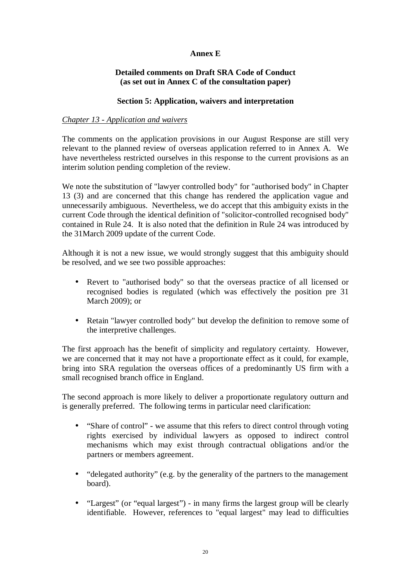# **Annex E**

# **Detailed comments on Draft SRA Code of Conduct (as set out in Annex C of the consultation paper)**

# **Section 5: Application, waivers and interpretation**

# *Chapter 13 - Application and waivers*

The comments on the application provisions in our August Response are still very relevant to the planned review of overseas application referred to in Annex A. We have nevertheless restricted ourselves in this response to the current provisions as an interim solution pending completion of the review.

We note the substitution of "lawyer controlled body" for "authorised body" in Chapter 13 (3) and are concerned that this change has rendered the application vague and unnecessarily ambiguous. Nevertheless, we do accept that this ambiguity exists in the current Code through the identical definition of "solicitor-controlled recognised body" contained in Rule 24. It is also noted that the definition in Rule 24 was introduced by the 31March 2009 update of the current Code.

Although it is not a new issue, we would strongly suggest that this ambiguity should be resolved, and we see two possible approaches:

- Revert to "authorised body" so that the overseas practice of all licensed or recognised bodies is regulated (which was effectively the position pre 31 March 2009); or
- Retain "lawyer controlled body" but develop the definition to remove some of the interpretive challenges.

The first approach has the benefit of simplicity and regulatory certainty. However, we are concerned that it may not have a proportionate effect as it could, for example, bring into SRA regulation the overseas offices of a predominantly US firm with a small recognised branch office in England.

The second approach is more likely to deliver a proportionate regulatory outturn and is generally preferred. The following terms in particular need clarification:

- "Share of control" we assume that this refers to direct control through voting rights exercised by individual lawyers as opposed to indirect control mechanisms which may exist through contractual obligations and/or the partners or members agreement.
- "delegated authority" (e.g. by the generality of the partners to the management board).
- "Largest" (or "equal largest") in many firms the largest group will be clearly identifiable. However, references to "equal largest" may lead to difficulties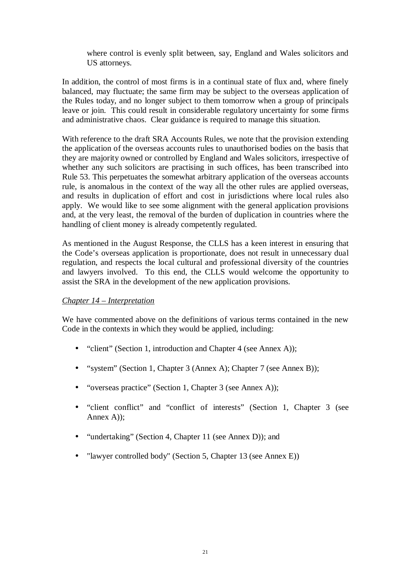where control is evenly split between, say, England and Wales solicitors and US attorneys.

In addition, the control of most firms is in a continual state of flux and, where finely balanced, may fluctuate; the same firm may be subject to the overseas application of the Rules today, and no longer subject to them tomorrow when a group of principals leave or join. This could result in considerable regulatory uncertainty for some firms and administrative chaos. Clear guidance is required to manage this situation.

With reference to the draft SRA Accounts Rules, we note that the provision extending the application of the overseas accounts rules to unauthorised bodies on the basis that they are majority owned or controlled by England and Wales solicitors, irrespective of whether any such solicitors are practising in such offices, has been transcribed into Rule 53. This perpetuates the somewhat arbitrary application of the overseas accounts rule, is anomalous in the context of the way all the other rules are applied overseas, and results in duplication of effort and cost in jurisdictions where local rules also apply. We would like to see some alignment with the general application provisions and, at the very least, the removal of the burden of duplication in countries where the handling of client money is already competently regulated.

As mentioned in the August Response, the CLLS has a keen interest in ensuring that the Code's overseas application is proportionate, does not result in unnecessary dual regulation, and respects the local cultural and professional diversity of the countries and lawyers involved. To this end, the CLLS would welcome the opportunity to assist the SRA in the development of the new application provisions.

# *Chapter 14 – Interpretation*

We have commented above on the definitions of various terms contained in the new Code in the contexts in which they would be applied, including:

- "client" (Section 1, introduction and Chapter 4 (see Annex A));
- "system" (Section 1, Chapter 3 (Annex A); Chapter 7 (see Annex B));
- "overseas practice" (Section 1, Chapter 3 (see Annex A));
- "client conflict" and "conflict of interests" (Section 1, Chapter 3 (see Annex A));
- "undertaking" (Section 4, Chapter 11 (see Annex D)); and
- "lawyer controlled body" (Section 5, Chapter 13 (see Annex E))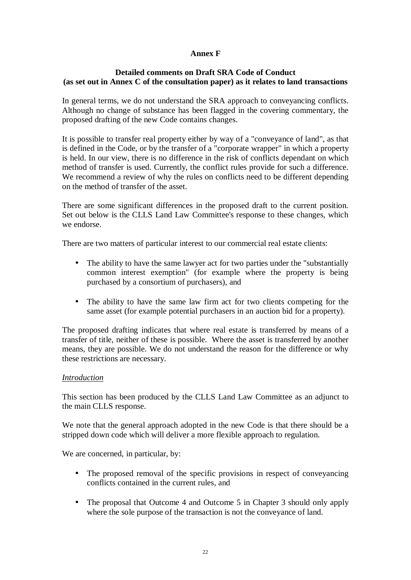# **Annex F**

# **Detailed comments on Draft SRA Code of Conduct (as set out in Annex C of the consultation paper) as it relates to land transactions**

In general terms, we do not understand the SRA approach to conveyancing conflicts. Although no change of substance has been flagged in the covering commentary, the proposed drafting of the new Code contains changes.

It is possible to transfer real property either by way of a "conveyance of land", as that is defined in the Code, or by the transfer of a "corporate wrapper" in which a property is held. In our view, there is no difference in the risk of conflicts dependant on which method of transfer is used. Currently, the conflict rules provide for such a difference. We recommend a review of why the rules on conflicts need to be different depending on the method of transfer of the asset.

There are some significant differences in the proposed draft to the current position. Set out below is the CLLS Land Law Committee's response to these changes, which we endorse.

There are two matters of particular interest to our commercial real estate clients:

- The ability to have the same lawyer act for two parties under the "substantially" common interest exemption" (for example where the property is being purchased by a consortium of purchasers), and
- The ability to have the same law firm act for two clients competing for the same asset (for example potential purchasers in an auction bid for a property).

The proposed drafting indicates that where real estate is transferred by means of a transfer of title, neither of these is possible. Where the asset is transferred by another means, they are possible. We do not understand the reason for the difference or why these restrictions are necessary.

# *Introduction*

This section has been produced by the CLLS Land Law Committee as an adjunct to the main CLLS response.

We note that the general approach adopted in the new Code is that there should be a stripped down code which will deliver a more flexible approach to regulation.

We are concerned, in particular, by:

- The proposed removal of the specific provisions in respect of conveyancing conflicts contained in the current rules, and
- The proposal that Outcome 4 and Outcome 5 in Chapter 3 should only apply where the sole purpose of the transaction is not the conveyance of land.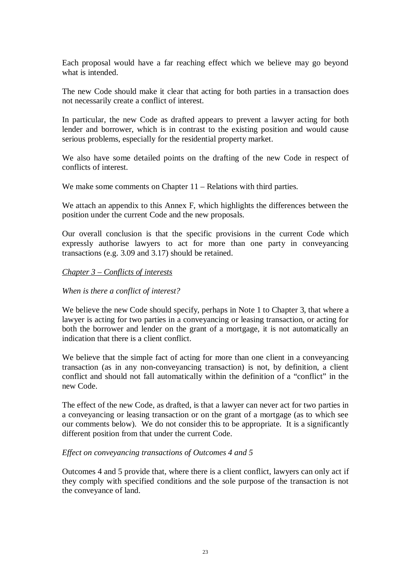Each proposal would have a far reaching effect which we believe may go beyond what is intended.

The new Code should make it clear that acting for both parties in a transaction does not necessarily create a conflict of interest.

In particular, the new Code as drafted appears to prevent a lawyer acting for both lender and borrower, which is in contrast to the existing position and would cause serious problems, especially for the residential property market.

We also have some detailed points on the drafting of the new Code in respect of conflicts of interest.

We make some comments on Chapter 11 – Relations with third parties.

We attach an appendix to this Annex F, which highlights the differences between the position under the current Code and the new proposals.

Our overall conclusion is that the specific provisions in the current Code which expressly authorise lawyers to act for more than one party in conveyancing transactions (e.g. 3.09 and 3.17) should be retained.

# *Chapter 3 – Conflicts of interests*

# *When is there a conflict of interest?*

We believe the new Code should specify, perhaps in Note 1 to Chapter 3, that where a lawyer is acting for two parties in a conveyancing or leasing transaction, or acting for both the borrower and lender on the grant of a mortgage, it is not automatically an indication that there is a client conflict.

We believe that the simple fact of acting for more than one client in a conveyancing transaction (as in any non-conveyancing transaction) is not, by definition, a client conflict and should not fall automatically within the definition of a "conflict" in the new Code.

The effect of the new Code, as drafted, is that a lawyer can never act for two parties in a conveyancing or leasing transaction or on the grant of a mortgage (as to which see our comments below). We do not consider this to be appropriate. It is a significantly different position from that under the current Code.

#### *Effect on conveyancing transactions of Outcomes 4 and 5*

Outcomes 4 and 5 provide that, where there is a client conflict, lawyers can only act if they comply with specified conditions and the sole purpose of the transaction is not the conveyance of land.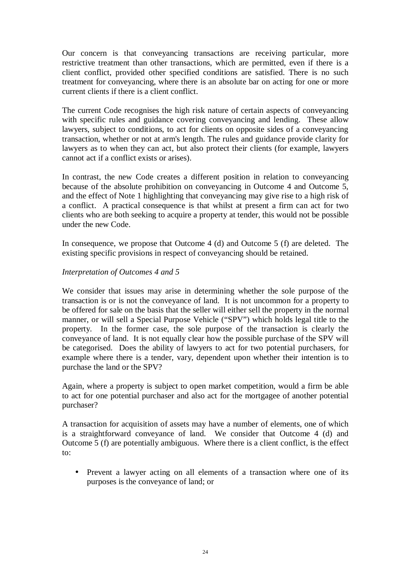Our concern is that conveyancing transactions are receiving particular, more restrictive treatment than other transactions, which are permitted, even if there is a client conflict, provided other specified conditions are satisfied. There is no such treatment for conveyancing, where there is an absolute bar on acting for one or more current clients if there is a client conflict.

The current Code recognises the high risk nature of certain aspects of conveyancing with specific rules and guidance covering conveyancing and lending. These allow lawyers, subject to conditions, to act for clients on opposite sides of a conveyancing transaction, whether or not at arm's length. The rules and guidance provide clarity for lawyers as to when they can act, but also protect their clients (for example, lawyers cannot act if a conflict exists or arises).

In contrast, the new Code creates a different position in relation to conveyancing because of the absolute prohibition on conveyancing in Outcome 4 and Outcome 5, and the effect of Note 1 highlighting that conveyancing may give rise to a high risk of a conflict. A practical consequence is that whilst at present a firm can act for two clients who are both seeking to acquire a property at tender, this would not be possible under the new Code.

In consequence, we propose that Outcome 4 (d) and Outcome 5 (f) are deleted. The existing specific provisions in respect of conveyancing should be retained.

# *Interpretation of Outcomes 4 and 5*

We consider that issues may arise in determining whether the sole purpose of the transaction is or is not the conveyance of land. It is not uncommon for a property to be offered for sale on the basis that the seller will either sell the property in the normal manner, or will sell a Special Purpose Vehicle ("SPV") which holds legal title to the property. In the former case, the sole purpose of the transaction is clearly the conveyance of land. It is not equally clear how the possible purchase of the SPV will be categorised. Does the ability of lawyers to act for two potential purchasers, for example where there is a tender, vary, dependent upon whether their intention is to purchase the land or the SPV?

Again, where a property is subject to open market competition, would a firm be able to act for one potential purchaser and also act for the mortgagee of another potential purchaser?

A transaction for acquisition of assets may have a number of elements, one of which is a straightforward conveyance of land. We consider that Outcome 4 (d) and Outcome 5 (f) are potentially ambiguous. Where there is a client conflict, is the effect to:

• Prevent a lawyer acting on all elements of a transaction where one of its purposes is the conveyance of land; or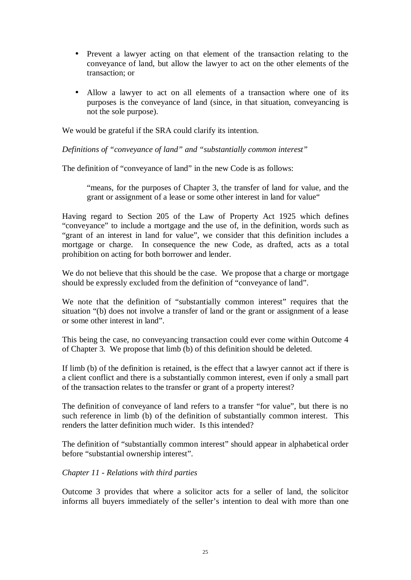- Prevent a lawyer acting on that element of the transaction relating to the conveyance of land, but allow the lawyer to act on the other elements of the transaction; or
- Allow a lawyer to act on all elements of a transaction where one of its purposes is the conveyance of land (since, in that situation, conveyancing is not the sole purpose).

We would be grateful if the SRA could clarify its intention.

*Definitions of "conveyance of land" and "substantially common interest"*

The definition of "conveyance of land" in the new Code is as follows:

"means, for the purposes of Chapter 3, the transfer of land for value, and the grant or assignment of a lease or some other interest in land for value"

Having regard to Section 205 of the Law of Property Act 1925 which defines "conveyance" to include a mortgage and the use of, in the definition, words such as "grant of an interest in land for value", we consider that this definition includes a mortgage or charge. In consequence the new Code, as drafted, acts as a total prohibition on acting for both borrower and lender.

We do not believe that this should be the case. We propose that a charge or mortgage should be expressly excluded from the definition of "conveyance of land".

We note that the definition of "substantially common interest" requires that the situation "(b) does not involve a transfer of land or the grant or assignment of a lease or some other interest in land".

This being the case, no conveyancing transaction could ever come within Outcome 4 of Chapter 3. We propose that limb (b) of this definition should be deleted.

If limb (b) of the definition is retained, is the effect that a lawyer cannot act if there is a client conflict and there is a substantially common interest, even if only a small part of the transaction relates to the transfer or grant of a property interest?

The definition of conveyance of land refers to a transfer "for value", but there is no such reference in limb (b) of the definition of substantially common interest. This renders the latter definition much wider. Is this intended?

The definition of "substantially common interest" should appear in alphabetical order before "substantial ownership interest".

# *Chapter 11 - Relations with third parties*

Outcome 3 provides that where a solicitor acts for a seller of land, the solicitor informs all buyers immediately of the seller's intention to deal with more than one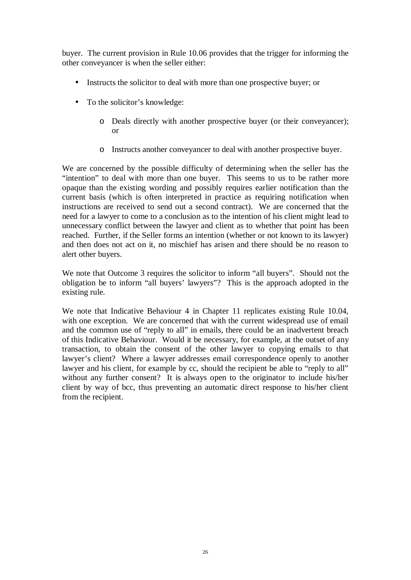buyer. The current provision in Rule 10.06 provides that the trigger for informing the other conveyancer is when the seller either:

- Instructs the solicitor to deal with more than one prospective buyer; or
- To the solicitor's knowledge:
	- o Deals directly with another prospective buyer (or their conveyancer); or
	- o Instructs another conveyancer to deal with another prospective buyer.

We are concerned by the possible difficulty of determining when the seller has the "intention" to deal with more than one buyer. This seems to us to be rather more opaque than the existing wording and possibly requires earlier notification than the current basis (which is often interpreted in practice as requiring notification when instructions are received to send out a second contract). We are concerned that the need for a lawyer to come to a conclusion as to the intention of his client might lead to unnecessary conflict between the lawyer and client as to whether that point has been reached. Further, if the Seller forms an intention (whether or not known to its lawyer) and then does not act on it, no mischief has arisen and there should be no reason to alert other buyers.

We note that Outcome 3 requires the solicitor to inform "all buyers". Should not the obligation be to inform "all buyers' lawyers"? This is the approach adopted in the existing rule.

We note that Indicative Behaviour 4 in Chapter 11 replicates existing Rule 10.04, with one exception. We are concerned that with the current widespread use of email and the common use of "reply to all" in emails, there could be an inadvertent breach of this Indicative Behaviour. Would it be necessary, for example, at the outset of any transaction, to obtain the consent of the other lawyer to copying emails to that lawyer's client? Where a lawyer addresses email correspondence openly to another lawyer and his client, for example by cc, should the recipient be able to "reply to all" without any further consent? It is always open to the originator to include his/her client by way of bcc, thus preventing an automatic direct response to his/her client from the recipient.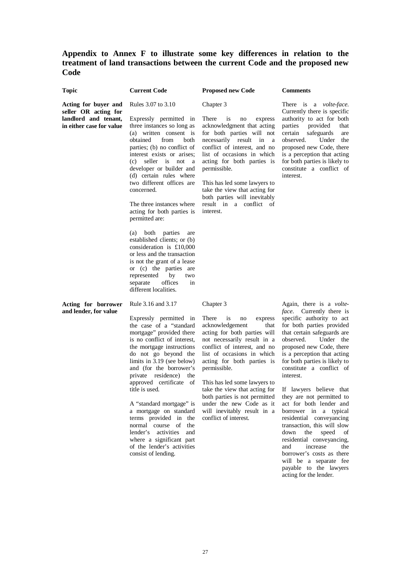# **Appendix to Annex F to illustrate some key differences in relation to the treatment of land transactions between the current Code and the proposed new Code**

| <b>Topic</b>                                                                                     | <b>Current Code</b>                                                                                                                                                                                                                                                                                                                                                                                                                                                                                                                                                                                                                                                                          | <b>Proposed new Code</b>                                                                                                                                                                                                                                                                                                                                                                                                                     | <b>Comments</b>                                                                                                                                                                                                                                                                                                                                                                                                                                                                                                                                                                                                                                                   |
|--------------------------------------------------------------------------------------------------|----------------------------------------------------------------------------------------------------------------------------------------------------------------------------------------------------------------------------------------------------------------------------------------------------------------------------------------------------------------------------------------------------------------------------------------------------------------------------------------------------------------------------------------------------------------------------------------------------------------------------------------------------------------------------------------------|----------------------------------------------------------------------------------------------------------------------------------------------------------------------------------------------------------------------------------------------------------------------------------------------------------------------------------------------------------------------------------------------------------------------------------------------|-------------------------------------------------------------------------------------------------------------------------------------------------------------------------------------------------------------------------------------------------------------------------------------------------------------------------------------------------------------------------------------------------------------------------------------------------------------------------------------------------------------------------------------------------------------------------------------------------------------------------------------------------------------------|
| Acting for buyer and<br>seller OR acting for<br>landlord and tenant,<br>in either case for value | Rules 3.07 to 3.10<br>Expressly permitted in<br>three instances so long as<br>(a) written consent is<br>obtained<br>from<br>both<br>parties; (b) no conflict of<br>interest exists or arises;<br>seller is not<br>(c)<br><sub>a</sub><br>developer or builder and<br>(d) certain rules where<br>two different offices are<br>concerned.<br>The three instances where<br>acting for both parties is<br>permitted are:<br>both<br>parties<br>(a)<br>are<br>established clients; or (b)<br>consideration is $£10,000$<br>or less and the transaction<br>is not the grant of a lease<br>or (c) the parties are<br>represented<br>by<br>two<br>separate<br>offices<br>in<br>different localities. | Chapter 3<br>There<br>is<br>no<br>express<br>acknowledgment that acting<br>for both parties will not<br>necessarily result in<br>a<br>conflict of interest, and no<br>list of occasions in which<br>acting for both parties is<br>permissible.<br>This has led some lawyers to<br>take the view that acting for<br>both parties will inevitably<br>result in a conflict of<br>interest.                                                      | There is a <i>volte-face</i> .<br>Currently there is specific<br>authority to act for both<br>parties<br>provided<br>that<br>safeguards<br>certain<br>are<br>Under<br>observed.<br>the<br>proposed new Code, there<br>is a perception that acting<br>for both parties is likely to<br>constitute a conflict of<br>interest.                                                                                                                                                                                                                                                                                                                                       |
| Acting for borrower<br>and lender, for value                                                     | Rule 3.16 and 3.17<br>Expressly permitted in<br>the case of a "standard<br>mortgage" provided there<br>is no conflict of interest,<br>the mortgage instructions<br>do not go beyond the<br>limits in $3.19$ (see below)<br>and (for the borrower's<br>private residence)<br>the<br>approved certificate of<br>title is used.<br>A "standard mortgage" is<br>a mortgage on standard<br>terms provided in the<br>normal course of<br>the<br>lender's activities<br>and<br>where a significant part<br>of the lender's activities<br>consist of lending.                                                                                                                                        | Chapter 3<br>There<br><i>is</i><br>no<br>express<br>acknowledgement<br>that<br>acting for both parties will<br>not necessarily result in a<br>conflict of interest, and no<br>list of occasions in which<br>acting for both parties is<br>permissible.<br>This has led some lawyers to<br>take the view that acting for<br>both parties is not permitted<br>under the new Code as it<br>will inevitably result in a<br>conflict of interest. | Again, there is a volte-<br><i>face</i> . Currently there is<br>specific authority to act<br>for both parties provided<br>that certain safeguards are<br>observed.<br>Under the<br>proposed new Code, there<br>is a perception that acting<br>for both parties is likely to<br>constitute a conflict of<br>interest.<br>If lawyers believe that<br>they are not permitted to<br>act for both lender and<br>borrower in a typical<br>residential conveyancing<br>transaction, this will slow<br>down<br>the<br>speed<br>of<br>residential conveyancing,<br>increase<br>and<br>the<br>borrower's costs as there<br>will be a separate fee<br>payable to the lawyers |

acting for the lender.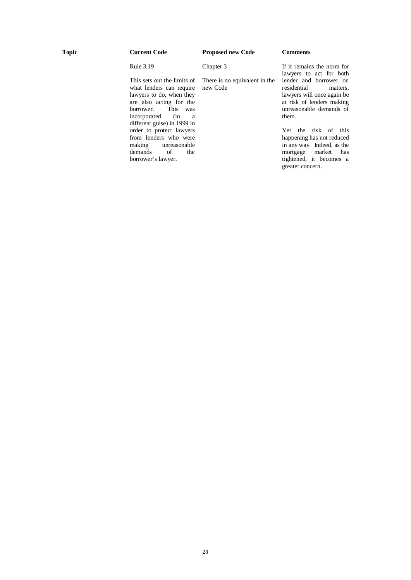Chapter 3

Rule 3.19

This sets out the limits of what lenders can require lawyers to do, when they are also acting for the borrower. This was This was  $\frac{1}{\sin \theta}$ incorporated different guise) in 1999 in order to protect lawyers from lenders who were making unreasonable<br>demands of the demands borrower's lawyer.

There is no equivalent in the new Code

If it remains the norm for lawyers to act for both lender and borrower on residential lawyers will once again be at risk of lenders making unreasonable demands of them.

Yet the risk of this happening has not reduced in any way. Indeed, as the mortgage market has tightened, it becomes a greater concern.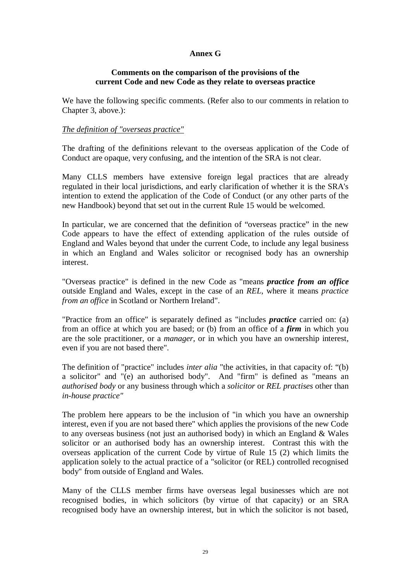# **Annex G**

# **Comments on the comparison of the provisions of the current Code and new Code as they relate to overseas practice**

We have the following specific comments. (Refer also to our comments in relation to Chapter 3, above.):

# *The definition of "overseas practice"*

The drafting of the definitions relevant to the overseas application of the Code of Conduct are opaque, very confusing, and the intention of the SRA is not clear.

Many CLLS members have extensive foreign legal practices that are already regulated in their local jurisdictions, and early clarification of whether it is the SRA's intention to extend the application of the Code of Conduct (or any other parts of the new Handbook) beyond that set out in the current Rule 15 would be welcomed.

In particular, we are concerned that the definition of "overseas practice" in the new Code appears to have the effect of extending application of the rules outside of England and Wales beyond that under the current Code, to include any legal business in which an England and Wales solicitor or recognised body has an ownership interest.

"Overseas practice" is defined in the new Code as "means *practice from an office* outside England and Wales, except in the case of an *REL*, where it means *practice from an office* in Scotland or Northern Ireland".

"Practice from an office" is separately defined as "includes *practice* carried on: (a) from an office at which you are based; or (b) from an office of a *firm* in which you are the sole practitioner, or a *manager*, or in which you have an ownership interest, even if you are not based there".

The definition of "practice" includes *inter alia* "the activities, in that capacity of: "(b) a solicitor" and "(e) an authorised body". And "firm" is defined as "means an *authorised body* or any business through which a *solicitor* or *REL practises* other than *in-house practice"*

The problem here appears to be the inclusion of "in which you have an ownership interest, even if you are not based there" which applies the provisions of the new Code to any overseas business (not just an authorised body) in which an England & Wales solicitor or an authorised body has an ownership interest. Contrast this with the overseas application of the current Code by virtue of Rule 15 (2) which limits the application solely to the actual practice of a "solicitor (or REL) controlled recognised body" from outside of England and Wales.

Many of the CLLS member firms have overseas legal businesses which are not recognised bodies, in which solicitors (by virtue of that capacity) or an SRA recognised body have an ownership interest, but in which the solicitor is not based,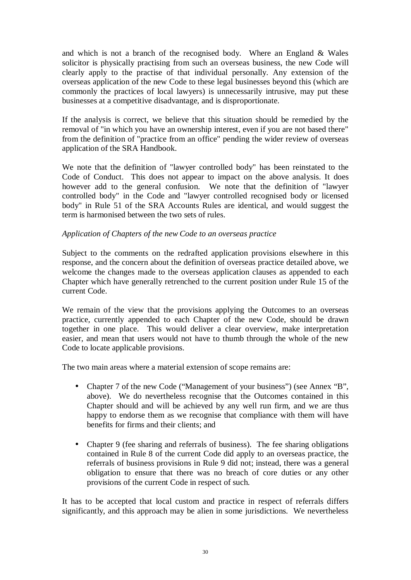and which is not a branch of the recognised body. Where an England  $&$  Wales solicitor is physically practising from such an overseas business, the new Code will clearly apply to the practise of that individual personally. Any extension of the overseas application of the new Code to these legal businesses beyond this (which are commonly the practices of local lawyers) is unnecessarily intrusive, may put these businesses at a competitive disadvantage, and is disproportionate.

If the analysis is correct, we believe that this situation should be remedied by the removal of "in which you have an ownership interest, even if you are not based there" from the definition of "practice from an office" pending the wider review of overseas application of the SRA Handbook.

We note that the definition of "lawyer controlled body" has been reinstated to the Code of Conduct. This does not appear to impact on the above analysis. It does however add to the general confusion. We note that the definition of "lawyer controlled body" in the Code and "lawyer controlled recognised body or licensed body" in Rule 51 of the SRA Accounts Rules are identical, and would suggest the term is harmonised between the two sets of rules.

# *Application of Chapters of the new Code to an overseas practice*

Subject to the comments on the redrafted application provisions elsewhere in this response, and the concern about the definition of overseas practice detailed above, we welcome the changes made to the overseas application clauses as appended to each Chapter which have generally retrenched to the current position under Rule 15 of the current Code.

We remain of the view that the provisions applying the Outcomes to an overseas practice, currently appended to each Chapter of the new Code, should be drawn together in one place. This would deliver a clear overview, make interpretation easier, and mean that users would not have to thumb through the whole of the new Code to locate applicable provisions.

The two main areas where a material extension of scope remains are:

- Chapter 7 of the new Code ("Management of your business") (see Annex "B", above). We do nevertheless recognise that the Outcomes contained in this Chapter should and will be achieved by any well run firm, and we are thus happy to endorse them as we recognise that compliance with them will have benefits for firms and their clients; and
- Chapter 9 (fee sharing and referrals of business). The fee sharing obligations contained in Rule 8 of the current Code did apply to an overseas practice, the referrals of business provisions in Rule 9 did not; instead, there was a general obligation to ensure that there was no breach of core duties or any other provisions of the current Code in respect of such.

It has to be accepted that local custom and practice in respect of referrals differs significantly, and this approach may be alien in some jurisdictions. We nevertheless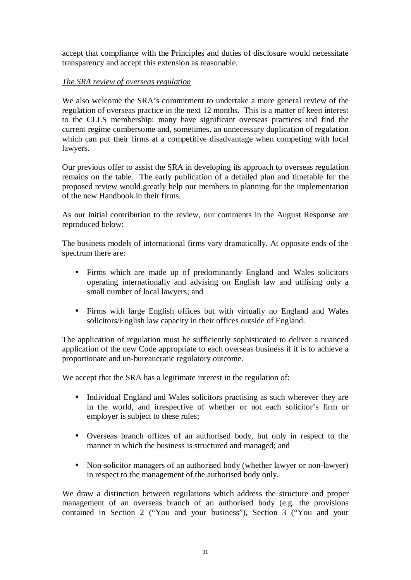accept that compliance with the Principles and duties of disclosure would necessitate transparency and accept this extension as reasonable.

# *The SRA review of overseas regulation*

We also welcome the SRA's commitment to undertake a more general review of the regulation of overseas practice in the next 12 months. This is a matter of keen interest to the CLLS membership: many have significant overseas practices and find the current regime cumbersome and, sometimes, an unnecessary duplication of regulation which can put their firms at a competitive disadvantage when competing with local lawyers.

Our previous offer to assist the SRA in developing its approach to overseas regulation remains on the table. The early publication of a detailed plan and timetable for the proposed review would greatly help our members in planning for the implementation of the new Handbook in their firms.

As our initial contribution to the review, our comments in the August Response are reproduced below:

The business models of international firms vary dramatically. At opposite ends of the spectrum there are:

- Firms which are made up of predominantly England and Wales solicitors operating internationally and advising on English law and utilising only a small number of local lawyers; and
- Firms with large English offices but with virtually no England and Wales solicitors/English law capacity in their offices outside of England.

The application of regulation must be sufficiently sophisticated to deliver a nuanced application of the new Code appropriate to each overseas business if it is to achieve a proportionate and un-bureaucratic regulatory outcome.

We accept that the SRA has a legitimate interest in the regulation of:

- Individual England and Wales solicitors practising as such wherever they are in the world, and irrespective of whether or not each solicitor's firm or employer is subject to these rules;
- Overseas branch offices of an authorised body, but only in respect to the manner in which the business is structured and managed; and
- Non-solicitor managers of an authorised body (whether lawyer or non-lawyer) in respect to the management of the authorised body only.

We draw a distinction between regulations which address the structure and proper management of an overseas branch of an authorised body (e.g. the provisions contained in Section 2 ("You and your business"), Section 3 ("You and your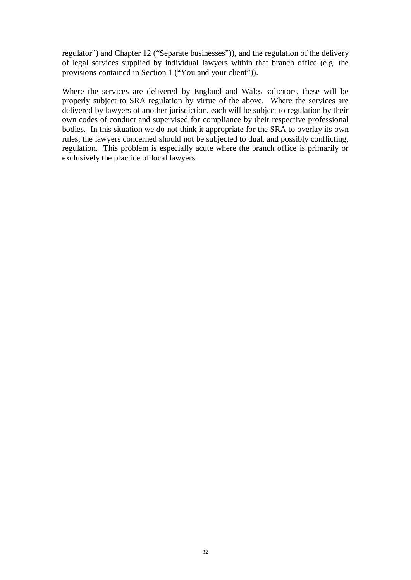regulator") and Chapter 12 ("Separate businesses")), and the regulation of the delivery of legal services supplied by individual lawyers within that branch office (e.g. the provisions contained in Section 1 ("You and your client")).

Where the services are delivered by England and Wales solicitors, these will be properly subject to SRA regulation by virtue of the above. Where the services are delivered by lawyers of another jurisdiction, each will be subject to regulation by their own codes of conduct and supervised for compliance by their respective professional bodies. In this situation we do not think it appropriate for the SRA to overlay its own rules; the lawyers concerned should not be subjected to dual, and possibly conflicting, regulation. This problem is especially acute where the branch office is primarily or exclusively the practice of local lawyers.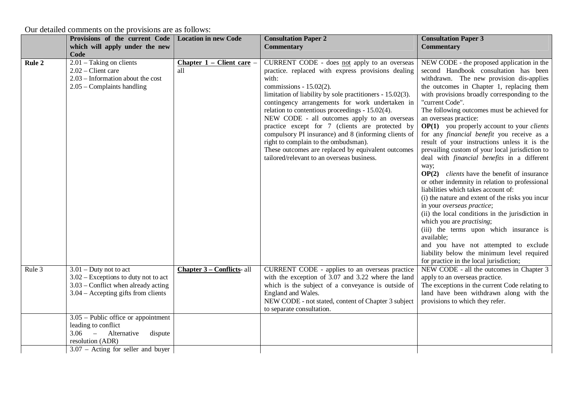Our detailed comments on the provisions are as follows:

|        | Provisions of the current Code                                                                                                                     | <b>Location in new Code</b>    | <b>Consultation Paper 2</b>                                                                                                                                                                                                                                                                                                                                                                                                                                                                                                                                                                                         | <b>Consultation Paper 3</b>                                                                                                                                                                                                                                                                                                                                                                                                                                                                                                                                                                                                                                                                                                                                                                                                                                                                                                                                                                                                                                                                                          |
|--------|----------------------------------------------------------------------------------------------------------------------------------------------------|--------------------------------|---------------------------------------------------------------------------------------------------------------------------------------------------------------------------------------------------------------------------------------------------------------------------------------------------------------------------------------------------------------------------------------------------------------------------------------------------------------------------------------------------------------------------------------------------------------------------------------------------------------------|----------------------------------------------------------------------------------------------------------------------------------------------------------------------------------------------------------------------------------------------------------------------------------------------------------------------------------------------------------------------------------------------------------------------------------------------------------------------------------------------------------------------------------------------------------------------------------------------------------------------------------------------------------------------------------------------------------------------------------------------------------------------------------------------------------------------------------------------------------------------------------------------------------------------------------------------------------------------------------------------------------------------------------------------------------------------------------------------------------------------|
|        | which will apply under the new                                                                                                                     |                                | <b>Commentary</b>                                                                                                                                                                                                                                                                                                                                                                                                                                                                                                                                                                                                   | <b>Commentary</b>                                                                                                                                                                                                                                                                                                                                                                                                                                                                                                                                                                                                                                                                                                                                                                                                                                                                                                                                                                                                                                                                                                    |
|        | Code                                                                                                                                               |                                |                                                                                                                                                                                                                                                                                                                                                                                                                                                                                                                                                                                                                     |                                                                                                                                                                                                                                                                                                                                                                                                                                                                                                                                                                                                                                                                                                                                                                                                                                                                                                                                                                                                                                                                                                                      |
| Rule 2 | $2.01$ – Taking on clients<br>$2.02$ – Client care<br>$2.03$ – Information about the cost<br>$2.05$ – Complaints handling                          | Chapter 1 – Client care<br>all | CURRENT CODE - does not apply to an overseas<br>practice. replaced with express provisions dealing<br>with:<br>commissions - $15.02(2)$ .<br>limitation of liability by sole practitioners - 15.02(3).<br>contingency arrangements for work undertaken in<br>relation to contentious proceedings - 15.02(4).<br>NEW CODE - all outcomes apply to an overseas<br>practice except for 7 (clients are protected by<br>compulsory PI insurance) and 8 (informing clients of<br>right to complain to the ombudsman).<br>These outcomes are replaced by equivalent outcomes<br>tailored/relevant to an overseas business. | NEW CODE - the proposed application in the<br>second Handbook consultation has been<br>withdrawn. The new provision dis-applies<br>the outcomes in Chapter 1, replacing them<br>with provisions broadly corresponding to the<br>"current Code".<br>The following outcomes must be achieved for<br>an overseas practice:<br>$OP(1)$ you properly account to your <i>clients</i><br>for any financial benefit you receive as a<br>result of your instructions unless it is the<br>prevailing custom of your local jurisdiction to<br>deal with <i>financial benefits</i> in a different<br>way;<br>$OP(2)$ <i>clients</i> have the benefit of insurance<br>or other indemnity in relation to professional<br>liabilities which takes account of:<br>(i) the nature and extent of the risks you incur<br>in your overseas practice;<br>(ii) the local conditions in the jurisdiction in<br>which you are <i>practising</i> ;<br>(iii) the terms upon which insurance is<br>available;<br>and you have not attempted to exclude<br>liability below the minimum level required<br>for practice in the local jurisdiction; |
| Rule 3 | $3.01 -$ Duty not to act<br>$3.02$ – Exceptions to duty not to act<br>3.03 – Conflict when already acting<br>$3.04$ – Accepting gifts from clients | Chapter 3 – Conflicts- all     | CURRENT CODE - applies to an overseas practice<br>with the exception of 3.07 and 3.22 where the land<br>which is the subject of a conveyance is outside of<br>England and Wales.<br>NEW CODE - not stated, content of Chapter 3 subject<br>to separate consultation.                                                                                                                                                                                                                                                                                                                                                | NEW CODE - all the outcomes in Chapter 3<br>apply to an overseas practice.<br>The exceptions in the current Code relating to<br>land have been withdrawn along with the<br>provisions to which they refer.                                                                                                                                                                                                                                                                                                                                                                                                                                                                                                                                                                                                                                                                                                                                                                                                                                                                                                           |
|        | $3.05$ – Public office or appointment<br>leading to conflict<br>$3.06 -$<br>Alternative<br>dispute<br>resolution (ADR)                             |                                |                                                                                                                                                                                                                                                                                                                                                                                                                                                                                                                                                                                                                     |                                                                                                                                                                                                                                                                                                                                                                                                                                                                                                                                                                                                                                                                                                                                                                                                                                                                                                                                                                                                                                                                                                                      |
|        | $3.07$ – Acting for seller and buyer                                                                                                               |                                |                                                                                                                                                                                                                                                                                                                                                                                                                                                                                                                                                                                                                     |                                                                                                                                                                                                                                                                                                                                                                                                                                                                                                                                                                                                                                                                                                                                                                                                                                                                                                                                                                                                                                                                                                                      |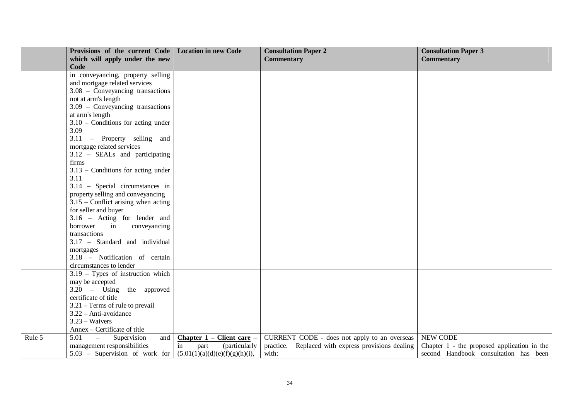|        | Provisions of the current Code   Location in new Code |                                | <b>Consultation Paper 2</b>                        | <b>Consultation Paper 3</b>                 |
|--------|-------------------------------------------------------|--------------------------------|----------------------------------------------------|---------------------------------------------|
|        | which will apply under the new                        |                                | <b>Commentary</b>                                  | <b>Commentary</b>                           |
|        | Code                                                  |                                |                                                    |                                             |
|        | in conveyancing, property selling                     |                                |                                                    |                                             |
|        | and mortgage related services                         |                                |                                                    |                                             |
|        | $3.08$ – Conveyancing transactions                    |                                |                                                    |                                             |
|        | not at arm's length                                   |                                |                                                    |                                             |
|        | 3.09 - Conveyancing transactions                      |                                |                                                    |                                             |
|        | at arm's length                                       |                                |                                                    |                                             |
|        | $3.10$ – Conditions for acting under                  |                                |                                                    |                                             |
|        | 3.09                                                  |                                |                                                    |                                             |
|        | 3.11 – Property selling and                           |                                |                                                    |                                             |
|        | mortgage related services                             |                                |                                                    |                                             |
|        | 3.12 - SEALs and participating                        |                                |                                                    |                                             |
|        | firms                                                 |                                |                                                    |                                             |
|        | $3.13$ – Conditions for acting under                  |                                |                                                    |                                             |
|        | 3.11                                                  |                                |                                                    |                                             |
|        | 3.14 - Special circumstances in                       |                                |                                                    |                                             |
|        | property selling and conveyancing                     |                                |                                                    |                                             |
|        | $3.15$ – Conflict arising when acting                 |                                |                                                    |                                             |
|        | for seller and buyer                                  |                                |                                                    |                                             |
|        | 3.16 - Acting for lender and                          |                                |                                                    |                                             |
|        | borrower<br>in<br>conveyancing                        |                                |                                                    |                                             |
|        | transactions                                          |                                |                                                    |                                             |
|        | 3.17 - Standard and individual                        |                                |                                                    |                                             |
|        | mortgages                                             |                                |                                                    |                                             |
|        | 3.18 - Notification of certain                        |                                |                                                    |                                             |
|        | circumstances to lender                               |                                |                                                    |                                             |
|        | $3.19$ – Types of instruction which                   |                                |                                                    |                                             |
|        | may be accepted                                       |                                |                                                    |                                             |
|        | $3.20 - Using the approved$                           |                                |                                                    |                                             |
|        | certificate of title                                  |                                |                                                    |                                             |
|        | $3.21$ – Terms of rule to prevail                     |                                |                                                    |                                             |
|        | 3.22 - Anti-avoidance                                 |                                |                                                    |                                             |
|        | $3.23 - Waivers$                                      |                                |                                                    |                                             |
|        | Annex – Certificate of title                          |                                |                                                    |                                             |
| Rule 5 | $5.01$ -<br>Supervision<br>and                        | Chapter 1 – Client care –      | CURRENT CODE - does not apply to an overseas       | <b>NEW CODE</b>                             |
|        | management responsibilities                           | in<br>(particularly<br>part    | practice. Replaced with express provisions dealing | Chapter 1 - the proposed application in the |
|        | 5.03 – Supervision of work for                        | (5.01(1)(a)(d)(e)(f)(g)(h)(i)) | with:                                              | second Handbook consultation has been       |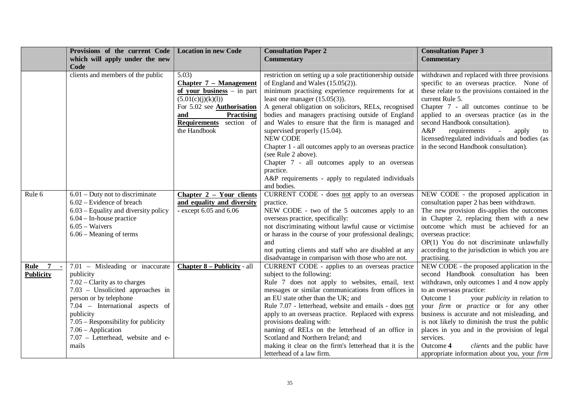|                        | Provisions of the current Code         | <b>Location in new Code</b>        | <b>Consultation Paper 2</b>                                      | <b>Consultation Paper 3</b>                       |
|------------------------|----------------------------------------|------------------------------------|------------------------------------------------------------------|---------------------------------------------------|
|                        | which will apply under the new         |                                    | <b>Commentary</b>                                                | <b>Commentary</b>                                 |
|                        | Code                                   |                                    |                                                                  |                                                   |
|                        | clients and members of the public      | 5.03)                              | restriction on setting up a sole practitionership outside        | withdrawn and replaced with three provisions      |
|                        |                                        | <b>Chapter 7 - Management</b>      | of England and Wales $(15.05(2))$ .                              | specific to an overseas practice. None of         |
|                        |                                        | of your business $-$ in part       | minimum practising experience requirements for at                | these relate to the provisions contained in the   |
|                        |                                        | (5.01(c)(j)(k)(l))                 | least one manager $(15.05(3))$ .                                 | current Rule 5.                                   |
|                        |                                        | For 5.02 see <b>Authorisation</b>  | A general obligation on solicitors, RELs, recognised             | Chapter 7 - all outcomes continue to be           |
|                        |                                        | and<br><b>Practising</b>           | bodies and managers practising outside of England                | applied to an overseas practice (as in the        |
|                        |                                        | <b>Requirements</b><br>section of  | and Wales to ensure that the firm is managed and                 | second Handbook consultation).                    |
|                        |                                        | the Handbook                       | supervised properly (15.04).                                     | A&P<br>requirements<br>apply<br>to                |
|                        |                                        |                                    | <b>NEW CODE</b>                                                  | licensed/regulated individuals and bodies (as     |
|                        |                                        |                                    | Chapter 1 - all outcomes apply to an overseas practice           | in the second Handbook consultation).             |
|                        |                                        |                                    | (see Rule 2 above).                                              |                                                   |
|                        |                                        |                                    | Chapter 7 - all outcomes apply to an overseas                    |                                                   |
|                        |                                        |                                    | practice.                                                        |                                                   |
|                        |                                        |                                    | A&P requirements - apply to regulated individuals<br>and bodies. |                                                   |
| Rule 6                 | $6.01$ – Duty not to discriminate      | Chapter 2 - Your clients           |                                                                  | NEW CODE - the proposed application in            |
|                        | $6.02$ – Evidence of breach            | and equality and diversity         | CURRENT CODE - does not apply to an overseas<br>practice.        | consultation paper 2 has been withdrawn.          |
|                        | $6.03$ – Equality and diversity policy | - except $6.05$ and $6.06$         | NEW CODE - two of the 5 outcomes apply to an                     | The new provision dis-applies the outcomes        |
|                        | $6.04$ – In-house practice             |                                    | overseas practice, specifically:                                 | in Chapter 2, replacing them with a new           |
|                        | $6.05 - Waivers$                       |                                    | not discriminating without lawful cause or victimise             | outcome which must be achieved for an             |
|                        | $6.06$ – Meaning of terms              |                                    | or harass in the course of your professional dealings;           | overseas practice:                                |
|                        |                                        |                                    | and                                                              | OP(1) You do not discriminate unlawfully          |
|                        |                                        |                                    | not putting clients and staff who are disabled at any            | according to the jurisdiction in which you are    |
|                        |                                        |                                    | disadvantage in comparison with those who are not.               | practising.                                       |
| $\overline{7}$<br>Rule | 7.01 - Misleading or inaccurate        | <b>Chapter 8 – Publicity - all</b> | CURRENT CODE - applies to an overseas practice                   | NEW CODE - the proposed application in the        |
| <b>Publicity</b>       | publicity                              |                                    | subject to the following:                                        | second Handbook consultation has been             |
|                        | $7.02$ – Clarity as to charges         |                                    | Rule 7 does not apply to websites, email, text                   | withdrawn, only outcomes 1 and 4 now apply        |
|                        | 7.03 - Unsolicited approaches in       |                                    | messages or similar communications from offices in               | to an overseas practice:                          |
|                        | person or by telephone                 |                                    | an EU state other than the UK; and                               | your <i>publicity</i> in relation to<br>Outcome 1 |
|                        | 7.04 - International aspects of        |                                    | Rule 7.07 - letterhead, website and emails - does not            | your firm or practice or for any other            |
|                        | publicity                              |                                    | apply to an overseas practice. Replaced with express             | business is accurate and not misleading, and      |
|                        | 7.05 - Responsibility for publicity    |                                    | provisions dealing with:                                         | is not likely to diminish the trust the public    |
|                        | $7.06$ – Application                   |                                    | naming of RELs on the letterhead of an office in                 | places in you and in the provision of legal       |
|                        | 7.07 - Letterhead, website and e-      |                                    | Scotland and Northern Ireland; and                               | services.                                         |
|                        | mails                                  |                                    | making it clear on the firm's letterhead that it is the          | Outcome 4<br>clients and the public have          |
|                        |                                        |                                    | letterhead of a law firm.                                        | appropriate information about you, your firm      |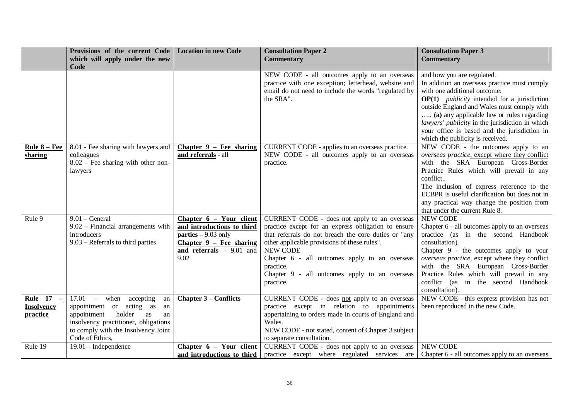|                   | Provisions of the current Code                     | <b>Location in new Code</b>  | <b>Consultation Paper 2</b>                               | <b>Consultation Paper 3</b>                                                         |
|-------------------|----------------------------------------------------|------------------------------|-----------------------------------------------------------|-------------------------------------------------------------------------------------|
|                   | which will apply under the new                     |                              | <b>Commentary</b>                                         | <b>Commentary</b>                                                                   |
|                   | Code                                               |                              |                                                           |                                                                                     |
|                   |                                                    |                              | NEW CODE - all outcomes apply to an overseas              | and how you are regulated.                                                          |
|                   |                                                    |                              | practice with one exception; letterhead, website and      | In addition an overseas practice must comply                                        |
|                   |                                                    |                              | email do not need to include the words "regulated by      | with one additional outcome:                                                        |
|                   |                                                    |                              | the SRA".                                                 | $OP(1)$ <i>publicity</i> intended for a jurisdiction                                |
|                   |                                                    |                              |                                                           | outside England and Wales must comply with                                          |
|                   |                                                    |                              |                                                           | (a) any applicable law or rules regarding                                           |
|                   |                                                    |                              |                                                           | lawyers' publicity in the jurisdiction in which                                     |
|                   |                                                    |                              |                                                           | your office is based and the jurisdiction in                                        |
|                   |                                                    |                              |                                                           | which the publicity is received.                                                    |
| Rule 8 - Fee      | 8.01 - Fee sharing with lawyers and                | Chapter $9$ – Fee sharing    | CURRENT CODE - applies to an overseas practice.           | NEW CODE - the outcomes apply to an                                                 |
| sharing           | colleagues<br>$8.02$ – Fee sharing with other non- | and referrals - all          | NEW CODE - all outcomes apply to an overseas<br>practice. | overseas practice, except where they conflict<br>with the SRA European Cross-Border |
|                   | lawyers                                            |                              |                                                           | Practice Rules which will prevail in any                                            |
|                   |                                                    |                              |                                                           | conflict                                                                            |
|                   |                                                    |                              |                                                           | The inclusion of express reference to the                                           |
|                   |                                                    |                              |                                                           | ECBPR is useful clarification but does not in                                       |
|                   |                                                    |                              |                                                           | any practical way change the position from                                          |
|                   |                                                    |                              |                                                           | that under the current Rule 8.                                                      |
| Rule 9            | $9.01 - General$                                   | Chapter 6 – Your client      | CURRENT CODE - does not apply to an overseas              | <b>NEW CODE</b>                                                                     |
|                   | 9.02 - Financial arrangements with                 | and introductions to third   | practice except for an express obligation to ensure       | Chapter 6 - all outcomes apply to an overseas                                       |
|                   | introducers                                        | $parties - 9.03$ only        | that referrals do not breach the core duties or "any      | practice (as in the second Handbook                                                 |
|                   | 9.03 – Referrals to third parties                  | Chapter $9$ – Fee sharing    | other applicable provisions of these rules".              | consultation).                                                                      |
|                   |                                                    | and referrals - 9.01 and     | NEW CODE                                                  | Chapter 9 - the outcomes apply to your                                              |
|                   |                                                    | $\overline{9.02}$            | Chapter 6 - all outcomes apply to an overseas             | overseas practice, except where they conflict                                       |
|                   |                                                    |                              | practice.                                                 | with the SRA European Cross-Border                                                  |
|                   |                                                    |                              | Chapter 9 - all outcomes apply to an overseas             | Practice Rules which will prevail in any                                            |
|                   |                                                    |                              | practice.                                                 | conflict (as in the second Handbook                                                 |
|                   |                                                    |                              |                                                           | consultation).                                                                      |
| Rule 17 -         | $17.01 -$<br>when accepting<br>an                  | <b>Chapter 3 – Conflicts</b> | CURRENT CODE - does not apply to an overseas              | NEW CODE - this express provision has not                                           |
| <b>Insolvency</b> | appointment or acting as<br>an                     |                              | practice except in relation to appointments               | been reproduced in the new Code.                                                    |
| <b>practice</b>   | appointment<br>holder<br>as<br>an                  |                              | appertaining to orders made in courts of England and      |                                                                                     |
|                   | insolvency practitioner, obligations               |                              | Wales.                                                    |                                                                                     |
|                   | to comply with the Insolvency Joint                |                              | NEW CODE - not stated, content of Chapter 3 subject       |                                                                                     |
|                   | Code of Ethics,                                    |                              | to separate consultation.                                 |                                                                                     |
| Rule 19           | $19.01$ – Independence                             | Chapter $6 - Your$ client    | CURRENT CODE - does not apply to an overseas              | <b>NEW CODE</b>                                                                     |
|                   |                                                    | and introductions to third   | practice except where regulated services are              | Chapter 6 - all outcomes apply to an overseas                                       |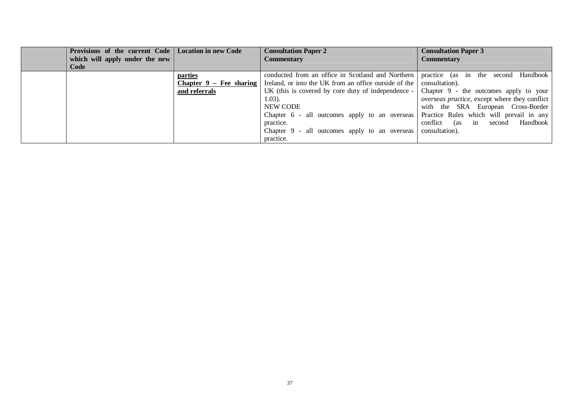| Provisions of the current Code   Location in new Code<br>which will apply under the new<br>Code |                                                              | <b>Consultation Paper 2</b><br><b>Commentary</b>                                                                                                                                                                                                                                                                                                                                 | <b>Consultation Paper 3</b><br><b>Commentary</b>                                                                                                                                                                                            |
|-------------------------------------------------------------------------------------------------|--------------------------------------------------------------|----------------------------------------------------------------------------------------------------------------------------------------------------------------------------------------------------------------------------------------------------------------------------------------------------------------------------------------------------------------------------------|---------------------------------------------------------------------------------------------------------------------------------------------------------------------------------------------------------------------------------------------|
|                                                                                                 | <u>parties</u><br>Chapter $9 - Fee$ sharing<br>and referrals | conducted from an office in Scotland and Northern  <br>Ireland, or into the UK from an office outside of the<br>UK (this is covered by core duty of independence $-$<br>1.03).<br>NEW CODE<br>Chapter 6 - all outcomes apply to an overseas Practice Rules which will prevail in any<br>practice.<br>Chapter $9$ - all outcomes apply to an overseas consultation).<br>practice. | Handbook  <br>practice (as in the second<br>consultation).<br>Chapter $9$ - the outcomes apply to your<br><i>overseas practice</i> , except where they conflict<br>with the SRA European Cross-Border<br>conflict (as in second<br>Handbook |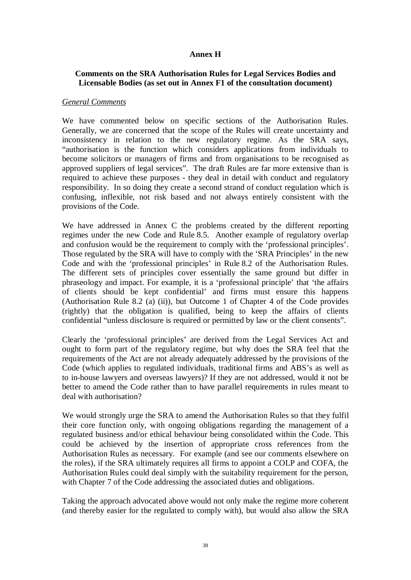# **Annex H**

# **Comments on the SRA Authorisation Rules for Legal Services Bodies and Licensable Bodies (as set out in Annex F1 of the consultation document)**

## *General Comments*

We have commented below on specific sections of the Authorisation Rules. Generally, we are concerned that the scope of the Rules will create uncertainty and inconsistency in relation to the new regulatory regime. As the SRA says, "authorisation is the function which considers applications from individuals to become solicitors or managers of firms and from organisations to be recognised as approved suppliers of legal services". The draft Rules are far more extensive than is required to achieve these purposes - they deal in detail with conduct and regulatory responsibility. In so doing they create a second strand of conduct regulation which is confusing, inflexible, not risk based and not always entirely consistent with the provisions of the Code.

We have addressed in Annex C the problems created by the different reporting regimes under the new Code and Rule 8.5. Another example of regulatory overlap and confusion would be the requirement to comply with the 'professional principles'. Those regulated by the SRA will have to comply with the 'SRA Principles' in the new Code and with the 'professional principles' in Rule 8.2 of the Authorisation Rules. The different sets of principles cover essentially the same ground but differ in phraseology and impact. For example, it is a 'professional principle' that 'the affairs of clients should be kept confidential' and firms must ensure this happens (Authorisation Rule 8.2 (a) (ii)), but Outcome 1 of Chapter 4 of the Code provides (rightly) that the obligation is qualified, being to keep the affairs of clients confidential "unless disclosure is required or permitted by law or the client consents".

Clearly the 'professional principles' are derived from the Legal Services Act and ought to form part of the regulatory regime, but why does the SRA feel that the requirements of the Act are not already adequately addressed by the provisions of the Code (which applies to regulated individuals, traditional firms and ABS's as well as to in-house lawyers and overseas lawyers)? If they are not addressed, would it not be better to amend the Code rather than to have parallel requirements in rules meant to deal with authorisation?

We would strongly urge the SRA to amend the Authorisation Rules so that they fulfil their core function only, with ongoing obligations regarding the management of a regulated business and/or ethical behaviour being consolidated within the Code. This could be achieved by the insertion of appropriate cross references from the Authorisation Rules as necessary. For example (and see our comments elsewhere on the roles), if the SRA ultimately requires all firms to appoint a COLP and COFA, the Authorisation Rules could deal simply with the suitability requirement for the person, with Chapter 7 of the Code addressing the associated duties and obligations.

Taking the approach advocated above would not only make the regime more coherent (and thereby easier for the regulated to comply with), but would also allow the SRA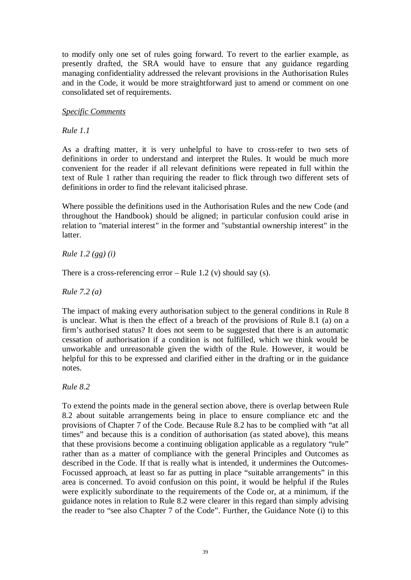to modify only one set of rules going forward. To revert to the earlier example, as presently drafted, the SRA would have to ensure that any guidance regarding managing confidentiality addressed the relevant provisions in the Authorisation Rules and in the Code, it would be more straightforward just to amend or comment on one consolidated set of requirements.

# *Specific Comments*

*Rule 1.1*

As a drafting matter, it is very unhelpful to have to cross-refer to two sets of definitions in order to understand and interpret the Rules. It would be much more convenient for the reader if all relevant definitions were repeated in full within the text of Rule 1 rather than requiring the reader to flick through two different sets of definitions in order to find the relevant italicised phrase.

Where possible the definitions used in the Authorisation Rules and the new Code (and throughout the Handbook) should be aligned; in particular confusion could arise in relation to "material interest" in the former and "substantial ownership interest" in the latter.

*Rule 1.2 (gg) (i)*

There is a cross-referencing error – Rule 1.2 (v) should say (s).

*Rule 7.2 (a)*

The impact of making every authorisation subject to the general conditions in Rule 8 is unclear. What is then the effect of a breach of the provisions of Rule 8.1 (a) on a firm's authorised status? It does not seem to be suggested that there is an automatic cessation of authorisation if a condition is not fulfilled, which we think would be unworkable and unreasonable given the width of the Rule. However, it would be helpful for this to be expressed and clarified either in the drafting or in the guidance notes.

*Rule 8.2*

To extend the points made in the general section above, there is overlap between Rule 8.2 about suitable arrangements being in place to ensure compliance etc and the provisions of Chapter 7 of the Code. Because Rule 8.2 has to be complied with "at all times" and because this is a condition of authorisation (as stated above), this means that these provisions become a continuing obligation applicable as a regulatory "rule" rather than as a matter of compliance with the general Principles and Outcomes as described in the Code. If that is really what is intended, it undermines the Outcomes-Focussed approach, at least so far as putting in place "suitable arrangements" in this area is concerned. To avoid confusion on this point, it would be helpful if the Rules were explicitly subordinate to the requirements of the Code or, at a minimum, if the guidance notes in relation to Rule 8.2 were clearer in this regard than simply advising the reader to "see also Chapter 7 of the Code". Further, the Guidance Note (i) to this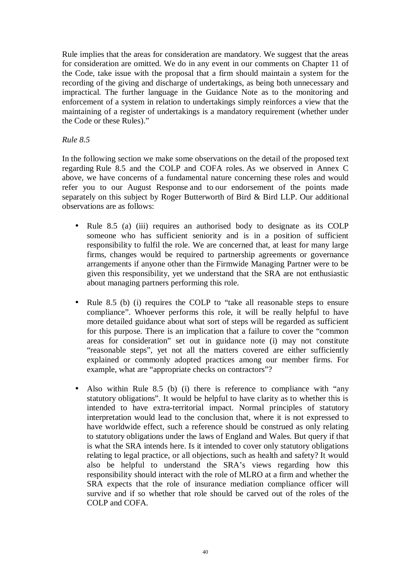Rule implies that the areas for consideration are mandatory. We suggest that the areas for consideration are omitted. We do in any event in our comments on Chapter 11 of the Code, take issue with the proposal that a firm should maintain a system for the recording of the giving and discharge of undertakings, as being both unnecessary and impractical. The further language in the Guidance Note as to the monitoring and enforcement of a system in relation to undertakings simply reinforces a view that the maintaining of a register of undertakings is a mandatory requirement (whether under the Code or these Rules)."

# *Rule 8.5*

In the following section we make some observations on the detail of the proposed text regarding Rule 8.5 and the COLP and COFA roles. As we observed in Annex C above, we have concerns of a fundamental nature concerning these roles and would refer you to our August Response and to our endorsement of the points made separately on this subject by Roger Butterworth of Bird & Bird LLP. Our additional observations are as follows:

- Rule 8.5 (a) (iii) requires an authorised body to designate as its COLP someone who has sufficient seniority and is in a position of sufficient responsibility to fulfil the role. We are concerned that, at least for many large firms, changes would be required to partnership agreements or governance arrangements if anyone other than the Firmwide Managing Partner were to be given this responsibility, yet we understand that the SRA are not enthusiastic about managing partners performing this role.
- Rule 8.5 (b) (i) requires the COLP to "take all reasonable steps to ensure compliance". Whoever performs this role, it will be really helpful to have more detailed guidance about what sort of steps will be regarded as sufficient for this purpose. There is an implication that a failure to cover the "common areas for consideration" set out in guidance note (i) may not constitute "reasonable steps", yet not all the matters covered are either sufficiently explained or commonly adopted practices among our member firms. For example, what are "appropriate checks on contractors"?
- Also within Rule 8.5 (b) (i) there is reference to compliance with "any statutory obligations". It would be helpful to have clarity as to whether this is intended to have extra-territorial impact. Normal principles of statutory interpretation would lead to the conclusion that, where it is not expressed to have worldwide effect, such a reference should be construed as only relating to statutory obligations under the laws of England and Wales. But query if that is what the SRA intends here. Is it intended to cover only statutory obligations relating to legal practice, or all objections, such as health and safety? It would also be helpful to understand the SRA's views regarding how this responsibility should interact with the role of MLRO at a firm and whether the SRA expects that the role of insurance mediation compliance officer will survive and if so whether that role should be carved out of the roles of the COLP and COFA.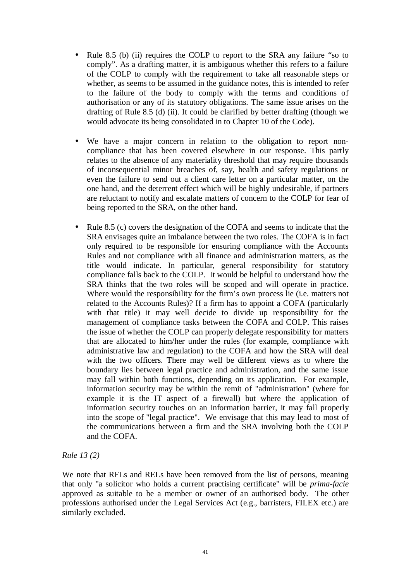- Rule 8.5 (b) (ii) requires the COLP to report to the SRA any failure "so to comply". As a drafting matter, it is ambiguous whether this refers to a failure of the COLP to comply with the requirement to take all reasonable steps or whether, as seems to be assumed in the guidance notes, this is intended to refer to the failure of the body to comply with the terms and conditions of authorisation or any of its statutory obligations. The same issue arises on the drafting of Rule 8.5 (d) (ii). It could be clarified by better drafting (though we would advocate its being consolidated in to Chapter 10 of the Code).
- We have a major concern in relation to the obligation to report noncompliance that has been covered elsewhere in our response. This partly relates to the absence of any materiality threshold that may require thousands of inconsequential minor breaches of, say, health and safety regulations or even the failure to send out a client care letter on a particular matter, on the one hand, and the deterrent effect which will be highly undesirable, if partners are reluctant to notify and escalate matters of concern to the COLP for fear of being reported to the SRA, on the other hand.
- Rule 8.5 (c) covers the designation of the COFA and seems to indicate that the SRA envisages quite an imbalance between the two roles. The COFA is in fact only required to be responsible for ensuring compliance with the Accounts Rules and not compliance with all finance and administration matters, as the title would indicate. In particular, general responsibility for statutory compliance falls back to the COLP. It would be helpful to understand how the SRA thinks that the two roles will be scoped and will operate in practice. Where would the responsibility for the firm's own process lie (i.e. matters not related to the Accounts Rules)? If a firm has to appoint a COFA (particularly with that title) it may well decide to divide up responsibility for the management of compliance tasks between the COFA and COLP. This raises the issue of whether the COLP can properly delegate responsibility for matters that are allocated to him/her under the rules (for example, compliance with administrative law and regulation) to the COFA and how the SRA will deal with the two officers. There may well be different views as to where the boundary lies between legal practice and administration, and the same issue may fall within both functions, depending on its application. For example, information security may be within the remit of "administration" (where for example it is the IT aspect of a firewall) but where the application of information security touches on an information barrier, it may fall properly into the scope of "legal practice". We envisage that this may lead to most of the communications between a firm and the SRA involving both the COLP and the COFA.

# *Rule 13 (2)*

We note that RFLs and RELs have been removed from the list of persons, meaning that only "a solicitor who holds a current practising certificate" will be *prima-facie* approved as suitable to be a member or owner of an authorised body. The other professions authorised under the Legal Services Act (e.g., barristers, FILEX etc.) are similarly excluded.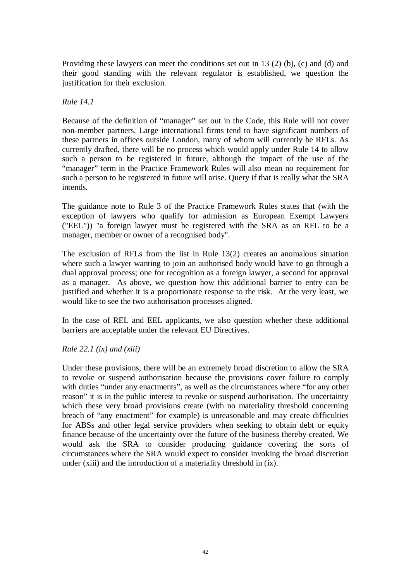Providing these lawyers can meet the conditions set out in 13 (2) (b), (c) and (d) and their good standing with the relevant regulator is established, we question the justification for their exclusion.

# *Rule 14.1*

Because of the definition of "manager" set out in the Code, this Rule will not cover non-member partners. Large international firms tend to have significant numbers of these partners in offices outside London, many of whom will currently be RFLs. As currently drafted, there will be no process which would apply under Rule 14 to allow such a person to be registered in future, although the impact of the use of the "manager" term in the Practice Framework Rules will also mean no requirement for such a person to be registered in future will arise. Query if that is really what the SRA intends.

The guidance note to Rule 3 of the Practice Framework Rules states that (with the exception of lawyers who qualify for admission as European Exempt Lawyers ("EEL")) "a foreign lawyer must be registered with the SRA as an RFL to be a manager, member or owner of a recognised body".

The exclusion of RFLs from the list in Rule 13(2) creates an anomalous situation where such a lawyer wanting to join an authorised body would have to go through a dual approval process; one for recognition as a foreign lawyer, a second for approval as a manager. As above, we question how this additional barrier to entry can be justified and whether it is a proportionate response to the risk. At the very least, we would like to see the two authorisation processes aligned.

In the case of REL and EEL applicants, we also question whether these additional barriers are acceptable under the relevant EU Directives.

# *Rule 22.1 (ix) and (xiii)*

Under these provisions, there will be an extremely broad discretion to allow the SRA to revoke or suspend authorisation because the provisions cover failure to comply with duties "under any enactments", as well as the circumstances where "for any other reason" it is in the public interest to revoke or suspend authorisation. The uncertainty which these very broad provisions create (with no materiality threshold concerning breach of "any enactment" for example) is unreasonable and may create difficulties for ABSs and other legal service providers when seeking to obtain debt or equity finance because of the uncertainty over the future of the business thereby created. We would ask the SRA to consider producing guidance covering the sorts of circumstances where the SRA would expect to consider invoking the broad discretion under (xiii) and the introduction of a materiality threshold in (ix).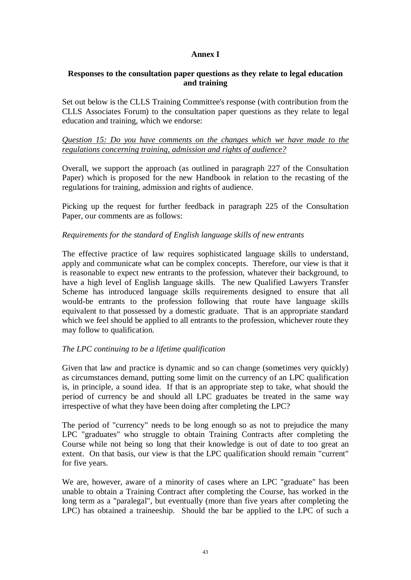# **Annex I**

# **Responses to the consultation paper questions as they relate to legal education and training**

Set out below is the CLLS Training Committee's response (with contribution from the CLLS Associates Forum) to the consultation paper questions as they relate to legal education and training, which we endorse:

*Question 15: Do you have comments on the changes which we have made to the regulations concerning training, admission and rights of audience?*

Overall, we support the approach (as outlined in paragraph 227 of the Consultation Paper) which is proposed for the new Handbook in relation to the recasting of the regulations for training, admission and rights of audience.

Picking up the request for further feedback in paragraph 225 of the Consultation Paper, our comments are as follows:

## *Requirements for the standard of English language skills of new entrants*

The effective practice of law requires sophisticated language skills to understand, apply and communicate what can be complex concepts. Therefore, our view is that it is reasonable to expect new entrants to the profession, whatever their background, to have a high level of English language skills. The new Qualified Lawyers Transfer Scheme has introduced language skills requirements designed to ensure that all would-be entrants to the profession following that route have language skills equivalent to that possessed by a domestic graduate. That is an appropriate standard which we feel should be applied to all entrants to the profession, whichever route they may follow to qualification.

# *The LPC continuing to be a lifetime qualification*

Given that law and practice is dynamic and so can change (sometimes very quickly) as circumstances demand, putting some limit on the currency of an LPC qualification is, in principle, a sound idea. If that is an appropriate step to take, what should the period of currency be and should all LPC graduates be treated in the same way irrespective of what they have been doing after completing the LPC?

The period of "currency" needs to be long enough so as not to prejudice the many LPC "graduates" who struggle to obtain Training Contracts after completing the Course while not being so long that their knowledge is out of date to too great an extent. On that basis, our view is that the LPC qualification should remain "current" for five years.

We are, however, aware of a minority of cases where an LPC "graduate" has been unable to obtain a Training Contract after completing the Course, has worked in the long term as a "paralegal", but eventually (more than five years after completing the LPC) has obtained a traineeship. Should the bar be applied to the LPC of such a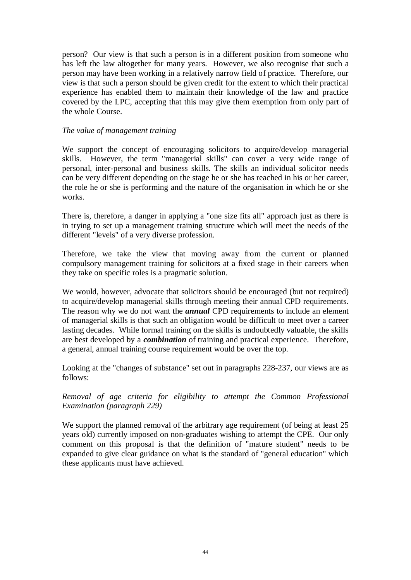person? Our view is that such a person is in a different position from someone who has left the law altogether for many years. However, we also recognise that such a person may have been working in a relatively narrow field of practice. Therefore, our view is that such a person should be given credit for the extent to which their practical experience has enabled them to maintain their knowledge of the law and practice covered by the LPC, accepting that this may give them exemption from only part of the whole Course.

# *The value of management training*

We support the concept of encouraging solicitors to acquire/develop managerial skills. However, the term "managerial skills" can cover a very wide range of personal, inter-personal and business skills. The skills an individual solicitor needs can be very different depending on the stage he or she has reached in his or her career, the role he or she is performing and the nature of the organisation in which he or she works.

There is, therefore, a danger in applying a "one size fits all" approach just as there is in trying to set up a management training structure which will meet the needs of the different "levels" of a very diverse profession.

Therefore, we take the view that moving away from the current or planned compulsory management training for solicitors at a fixed stage in their careers when they take on specific roles is a pragmatic solution.

We would, however, advocate that solicitors should be encouraged (but not required) to acquire/develop managerial skills through meeting their annual CPD requirements. The reason why we do not want the *annual* CPD requirements to include an element of managerial skills is that such an obligation would be difficult to meet over a career lasting decades. While formal training on the skills is undoubtedly valuable, the skills are best developed by a *combination* of training and practical experience. Therefore, a general, annual training course requirement would be over the top.

Looking at the "changes of substance" set out in paragraphs 228-237, our views are as follows:

*Removal of age criteria for eligibility to attempt the Common Professional Examination (paragraph 229)*

We support the planned removal of the arbitrary age requirement (of being at least 25 years old) currently imposed on non-graduates wishing to attempt the CPE. Our only comment on this proposal is that the definition of "mature student" needs to be expanded to give clear guidance on what is the standard of "general education" which these applicants must have achieved.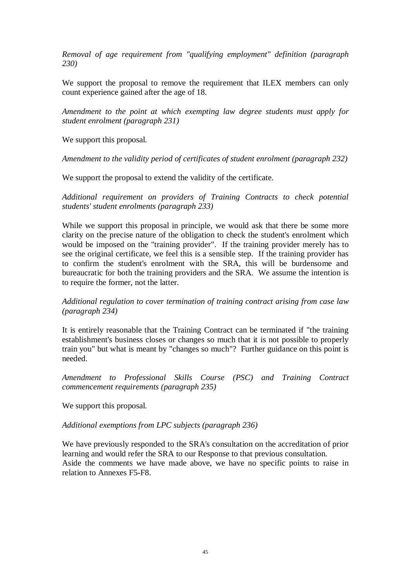*Removal of age requirement from "qualifying employment" definition (paragraph 230)*

We support the proposal to remove the requirement that ILEX members can only count experience gained after the age of 18.

*Amendment to the point at which exempting law degree students must apply for student enrolment (paragraph 231)*

We support this proposal.

*Amendment to the validity period of certificates of student enrolment (paragraph 232)*

We support the proposal to extend the validity of the certificate.

*Additional requirement on providers of Training Contracts to check potential students' student enrolments (paragraph 233)*

While we support this proposal in principle, we would ask that there be some more clarity on the precise nature of the obligation to check the student's enrolment which would be imposed on the "training provider". If the training provider merely has to see the original certificate, we feel this is a sensible step. If the training provider has to confirm the student's enrolment with the SRA, this will be burdensome and bureaucratic for both the training providers and the SRA. We assume the intention is to require the former, not the latter.

*Additional regulation to cover termination of training contract arising from case law (paragraph 234)*

It is entirely reasonable that the Training Contract can be terminated if "the training establishment's business closes or changes so much that it is not possible to properly train you" but what is meant by "changes so much"? Further guidance on this point is needed.

*Amendment to Professional Skills Course (PSC) and Training Contract commencement requirements (paragraph 235)*

We support this proposal.

*Additional exemptions from LPC subjects (paragraph 236)*

We have previously responded to the SRA's consultation on the accreditation of prior learning and would refer the SRA to our Response to that previous consultation. Aside the comments we have made above, we have no specific points to raise in relation to Annexes F5-F8.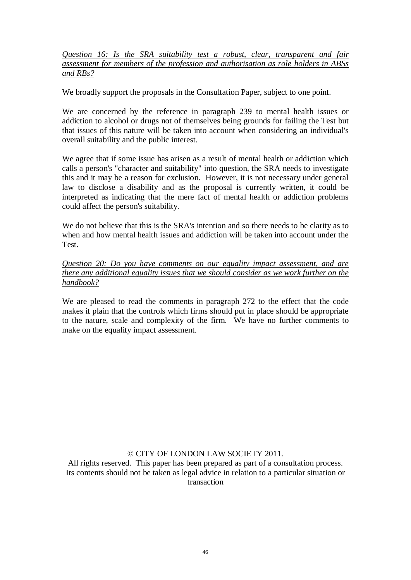*Question 16: Is the SRA suitability test a robust, clear, transparent and fair assessment for members of the profession and authorisation as role holders in ABSs and RBs?*

We broadly support the proposals in the Consultation Paper, subject to one point.

We are concerned by the reference in paragraph 239 to mental health issues or addiction to alcohol or drugs not of themselves being grounds for failing the Test but that issues of this nature will be taken into account when considering an individual's overall suitability and the public interest.

We agree that if some issue has arisen as a result of mental health or addiction which calls a person's "character and suitability" into question, the SRA needs to investigate this and it may be a reason for exclusion. However, it is not necessary under general law to disclose a disability and as the proposal is currently written, it could be interpreted as indicating that the mere fact of mental health or addiction problems could affect the person's suitability.

We do not believe that this is the SRA's intention and so there needs to be clarity as to when and how mental health issues and addiction will be taken into account under the Test.

*Question 20: Do you have comments on our equality impact assessment, and are there any additional equality issues that we should consider as we work further on the handbook?*

We are pleased to read the comments in paragraph 272 to the effect that the code makes it plain that the controls which firms should put in place should be appropriate to the nature, scale and complexity of the firm. We have no further comments to make on the equality impact assessment.

© CITY OF LONDON LAW SOCIETY 2011.

All rights reserved. This paper has been prepared as part of a consultation process. Its contents should not be taken as legal advice in relation to a particular situation or transaction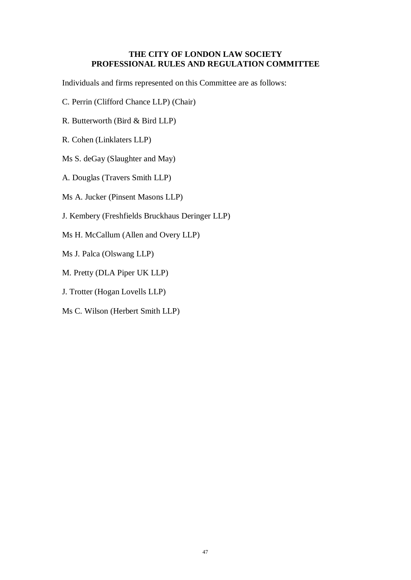# **THE CITY OF LONDON LAW SOCIETY PROFESSIONAL RULES AND REGULATION COMMITTEE**

Individuals and firms represented on this Committee are as follows:

- C. Perrin (Clifford Chance LLP) (Chair)
- R. Butterworth (Bird & Bird LLP)
- R. Cohen (Linklaters LLP)
- Ms S. deGay (Slaughter and May)
- A. Douglas (Travers Smith LLP)
- Ms A. Jucker (Pinsent Masons LLP)
- J. Kembery (Freshfields Bruckhaus Deringer LLP)
- Ms H. McCallum (Allen and Overy LLP)
- Ms J. Palca (Olswang LLP)
- M. Pretty (DLA Piper UK LLP)
- J. Trotter (Hogan Lovells LLP)
- Ms C. Wilson (Herbert Smith LLP)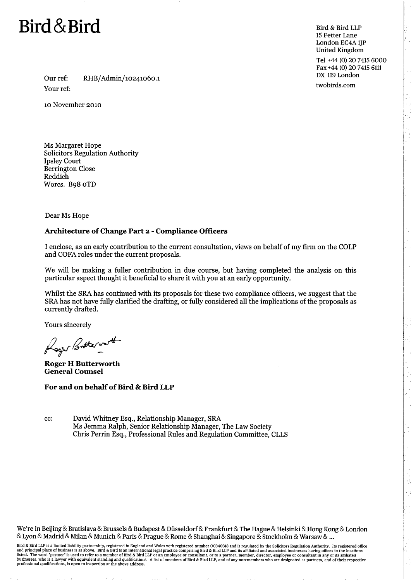

Bird & Bird LLP 15 Fetter Lane London EC4A 1IP **United Kingdom** 

Tel +44 (0) 20 7415 6000 Fax +44 (0) 20 7415 6111 DX 119 London

twobirds.com

Our ref: RHB/Admin/10241060.1 Your ref:

10 November 2010

Ms Margaret Hope **Solicitors Regulation Authority Ipsley Court Berrington Close** Reddich Worcs. B98 oTD

Dear Ms Hope

#### Architecture of Change Part 2 - Compliance Officers

I enclose, as an early contribution to the current consultation, views on behalf of my firm on the COLP and COFA roles under the current proposals.

We will be making a fuller contribution in due course, but having completed the analysis on this particular aspect thought it beneficial to share it with you at an early opportunity.

Whilst the SRA has continued with its proposals for these two compliance officers, we suggest that the SRA has not have fully clarified the drafting, or fully considered all the implications of the proposals as currently drafted.

Yours sincerely

Loger Butterworth

**Roger H Butterworth General Counsel** 

For and on behalf of Bird & Bird LLP

cc: David Whitney Esq., Relationship Manager, SRA Ms Jemma Ralph, Senior Relationship Manager, The Law Society Chris Perrin Esq., Professional Rules and Regulation Committee, CLLS

We're in Beijing & Bratislava & Brussels & Budapest & Düsseldorf & Frankfurt & The Hague & Helsinki & Hong Kong & London & Lyon & Madrid & Milan & Munich & Paris & Prague & Rome & Shanghai & Singapore & Stockholm & Warsaw & ...

Bird & Bird LLP is a limited liability partnership, registered in England and Wales with registered number OC340318 and is regulated by the Solicitors Regulation Authority. Its registered office<br>and principal place of busi professional qualifications, is open to inspection at the above address.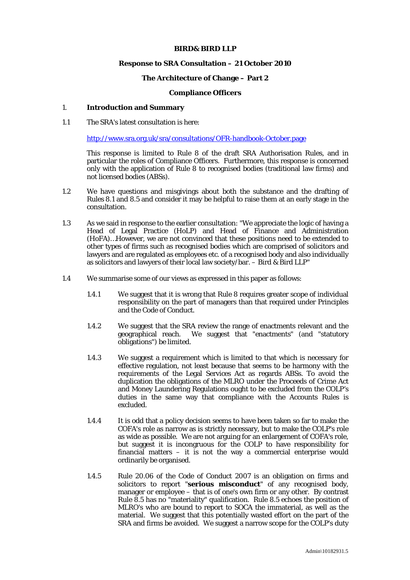#### **BIRD& BIRD LLP**

#### **Response to SRA Consultation – 21 October 2010**

#### **The Architecture of Change – Part 2**

#### **Compliance Officers**

#### 1. **Introduction and Summary**

1.1 The SRA's latest consultation is here:

http://www.sra.org.uk/sra/consultations/OFR-handbook-October.page

This response is limited to Rule 8 of the draft SRA Authorisation Rules, and in particular the roles of Compliance Officers. Furthermore, this response is concerned only with the application of Rule 8 to recognised bodies (traditional law firms) and not licensed bodies (ABSs).

- 1.2 We have questions and misgivings about both the substance and the drafting of Rules 8.1 and 8.5 and consider it may be helpful to raise them at an early stage in the consultation.
- 1.3 As we said in response to the earlier consultation: "We appreciate the logic of having a Head of Legal Practice (HoLP) and Head of Finance and Administration (HoFA)…However, we are not convinced that these positions need to be extended to other types of firms such as recognised bodies which are comprised of solicitors and lawyers and are regulated as employees etc. of a recognised body and also individually as solicitors and lawyers of their local law society/bar.  $-$  Bird & Bird LLP"
- 1.4 We summarise some of our views as expressed in this paper as follows:
	- 1.4.1 We suggest that it is wrong that Rule 8 requires greater scope of individual responsibility on the part of managers than that required under Principles and the Code of Conduct.
	- 1.4.2 We suggest that the SRA review the range of enactments relevant and the geographical reach. We suggest that "enactments" (and "statutory obligations") be limited.
	- 1.4.3 We suggest a requirement which is limited to that which is necessary for effective regulation, not least because that seems to be harmony with the requirements of the Legal Services Act as regards ABSs. To avoid the duplication the obligations of the MLRO under the Proceeds of Crime Act and Money Laundering Regulations ought to be excluded from the COLP's duties in the same way that compliance with the Accounts Rules is excluded.
	- 1.4.4 It is odd that a policy decision seems to have been taken so far to make the COFA's role as narrow as is strictly necessary, but to make the COLP's role as wide as possible. We are not arguing for an enlargement of COFA's role, but suggest it is incongruous for the COLP to have responsibility for financial matters – it is not the way a commercial enterprise would ordinarily be organised.
	- 1.4.5 Rule 20.06 of the Code of Conduct 2007 is an obligation on firms and solicitors to report "**serious misconduct**" of any recognised body, manager or employee – that is of one's own firm or any other. By contrast Rule 8.5 has no "materiality" qualification. Rule 8.5 echoes the position of MLRO's who are bound to report to SOCA the immaterial, as well as the material. We suggest that this potentially wasted effort on the part of the SRA and firms be avoided. We suggest a narrow scope for the COLP's duty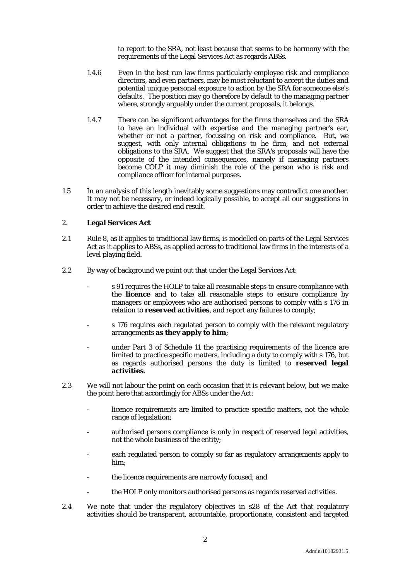to report to the SRA, not least because that seems to be harmony with the requirements of the Legal Services Act as regards ABSs.

- 1.4.6 Even in the best run law firms particularly employee risk and compliance directors, and even partners, may be most reluctant to accept the duties and potential unique personal exposure to action by the SRA for someone else's defaults. The position may go therefore by default to the managing partner where, strongly arguably under the current proposals, it belongs.
- 1.4.7 There can be significant advantages for the firms themselves and the SRA to have an individual with expertise and the managing partner's ear, whether or not a partner, focussing on risk and compliance. But, we suggest, with only internal obligations to he firm, and not external obligations to the SRA. We suggest that the SRA's proposals will have the opposite of the intended consequences, namely if managing partners become COLP it may diminish the role of the person who is risk and compliance officer for internal purposes.
- 1.5 In an analysis of this length inevitably some suggestions may contradict one another. It may not be necessary, or indeed logically possible, to accept all our suggestions in order to achieve the desired end result.

#### 2. **Legal Services Act**

- 2.1 Rule 8, as it applies to traditional law firms, is modelled on parts of the Legal Services Act as it applies to ABSs, as applied across to traditional law firms in the interests of a level playing field.
- 2.2 By way of background we point out that under the Legal Services Act:
	- s 91 requires the HOLP to take all reasonable steps to ensure compliance with the **licence** and to take all reasonable steps to ensure compliance by managers or employees who are authorised persons to comply with s 176 in relation to **reserved activities**, and report any failures to comply;
	- s 176 requires each regulated person to comply with the relevant regulatory arrangements **as they apply to him**;
	- under Part 3 of Schedule 11 the practising requirements of the licence are limited to practice specific matters, including a duty to comply with s 176, but as regards authorised persons the duty is limited to **reserved legal activities**.
- 2.3 We will not labour the point on each occasion that it is relevant below, but we make the point here that accordingly for ABSs under the Act:
	- licence requirements are limited to practice specific matters, not the whole range of legislation;
	- authorised persons compliance is only in respect of reserved legal activities, not the whole business of the entity;
	- each regulated person to comply so far as regulatory arrangements apply to him;
	- the licence requirements are narrowly focused; and
	- the HOLP only monitors authorised persons as regards reserved activities.
- 2.4 We note that under the regulatory objectives in s28 of the Act that regulatory activities should be transparent, accountable, proportionate, consistent and targeted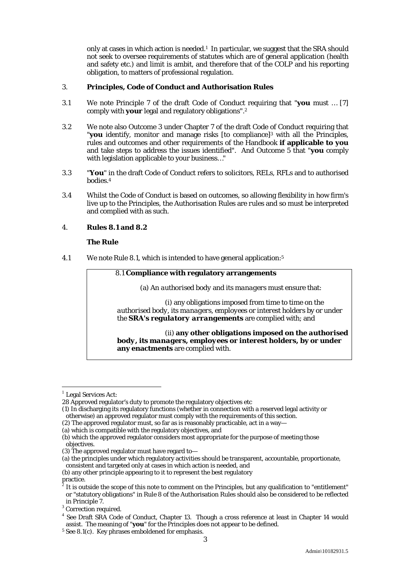only at cases in which action is needed.1 In particular, we suggest that the SRA should not seek to oversee requirements of statutes which are of general application (health and safety etc.) and limit is ambit, and therefore that of the COLP and his reporting obligation, to matters of professional regulation.

#### 3. **Principles, Code of Conduct and Authorisation Rules**

- 3.1 We note Principle 7 of the draft Code of Conduct requiring that "**you** must … [7] comply with **your** legal and regulatory obligations".2
- 3.2 We note also Outcome 3 under Chapter 7 of the draft Code of Conduct requiring that "**you** identify, monitor and manage risks [to compliance]3 with all the Principles, rules and outcomes and other requirements of the Handbook **if applicable to you** and take steps to address the issues identified". And Outcome 5 that "**you** comply with legislation applicable to your business…"
- 3.3 "**You**" in the draft Code of Conduct refers to solicitors, RELs, RFLs and to authorised bodies.4
- 3.4 Whilst the Code of Conduct is based on outcomes, so allowing flexibility in how firm's live up to the Principles, the Authorisation Rules are *rules* and so must be interpreted and complied with as such.

## 4. **Rules 8.1 and 8.2**

#### *The Rule*

4.1 We note Rule 8.1, which is intended to have general application:5

#### 8.1 **Compliance with regulatory arrangements**

(a) An *authorised body* and its *managers* must ensure that:

(i) any obligations imposed from time to time on the *authorised body*, its *managers*, *employees* or *interest holders* by or under the *SRA***'s** *regulatory arrangements* are complied with; and

(ii) **any other obligations imposed on the** *authorised body***, its** *managers***,** *employees* **or** *interest holders***, by or under any enactments** are complied with.

 $<sup>1</sup>$  Legal Services Act:</sup>

<sup>28</sup> Approved regulator's duty to promote the regulatory objectives etc

<sup>(1)</sup> In discharging its regulatory functions (whether in connection with a reserved legal activity or otherwise) an approved regulator must comply with the requirements of this section.

<sup>(2)</sup> The approved regulator must, so far as is reasonably practicable, act in a way—

<sup>(</sup>a) which is compatible with the regulatory objectives, and

<sup>(</sup>b) which the approved regulator considers most appropriate for the purpose of meeting those objectives.

<sup>(3)</sup> The approved regulator must have regard to—

<sup>(</sup>a) the principles under which regulatory activities should be transparent, accountable, proportionate, consistent and targeted only at cases in which action is needed, and

<sup>(</sup>b) any other principle appearing to it to represent the best regulatory  $\int_{2}$  practice.

<sup>2</sup> It is outside the scope of this note to comment on the Principles, but any qualification to "entitlement" or "statutory obligations" in Rule 8 of the Authorisation Rules should also be considered to be reflected in Principle 7.

<sup>&</sup>lt;sup>3</sup> Correction required.

<sup>&</sup>lt;sup>4</sup> See Draft SRA Code of Conduct, Chapter 13. Though a cross reference at least in Chapter 14 would assist. The meaning of "**you**" for the Principles does not appear to be defined.

<sup>&</sup>lt;sup>5</sup> See 8.1(c). Key phrases emboldened for emphasis.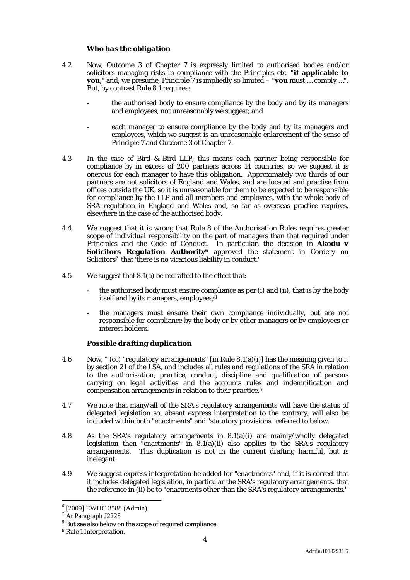#### *Who has the obligation*

- 4.2 Now, Outcome 3 of Chapter 7 is expressly limited to authorised bodies and/or solicitors managing risks in compliance with the Principles etc. "**if applicable to you**," and, we presume, Principle 7 is impliedly so limited – "**you** must … comply …". But, by contrast Rule 8.1 requires:
	- the authorised body to ensure compliance by the body and by its managers and employees, not unreasonably we suggest; and
	- each manager to ensure compliance by the body and by its managers and employees, which we suggest is an unreasonable enlargement of the sense of Principle 7 and Outcome 3 of Chapter 7.
- 4.3 In the case of Bird & Bird LLP, this means each partner being responsible for compliance by in excess of 200 partners across 14 countries, so we suggest it is onerous for each manager to have this obligation. Approximately two thirds of our partners are not solicitors of England and Wales, and are located and practise from offices outside the UK, so it is unreasonable for them to be expected to be responsible for compliance by the LLP and all members and employees, with the whole body of SRA regulation in England and Wales and, so far as overseas practice requires, elsewhere in the case of the authorised body.
- 4.4 We suggest that it is wrong that Rule 8 of the Authorisation Rules requires greater scope of individual responsibility on the part of managers than that required under Principles and the Code of Conduct. In particular, the decision in **Akodu v Solicitors Regulation Authority6** approved the statement in Cordery on Solicitors<sup>7</sup> that 'there is no vicarious liability in conduct.'
- 4.5 We suggest that 8.1(a) be redrafted to the effect that:
	- the authorised body must ensure compliance as per (i) and (ii), that is by the body itself and by its managers, employees;<sup>8</sup>
	- the managers must ensure their *own* compliance individually, but are not responsible for compliance by the body or by other managers or by employees or interest holders.

#### *Possible drafting duplication*

- 4.6 Now, " (cc) "*regulatory arrangements*" [in Rule 8.1(a)(i)] has the meaning given to it by section 21 of the *LSA*, and includes all rules and regulations of the *SRA* in relation to the *authorisation*, *practice*, conduct, discipline and qualification of *persons* carrying on *legal activities* and the accounts rules and indemnification and compensation arrangements in relation to their *practice.*<sup>9</sup>
- 4.7 We note that many/all of the SRA's regulatory arrangements will have the status of delegated legislation so, absent express interpretation to the contrary, will also be included within both "enactments" and "statutory provisions" referred to below.
- 4.8 As the SRA's regulatory arrangements in 8.1(a)(i) are mainly/wholly delegated legislation then "enactments" in 8.1(a)(ii) also applies to the SRA's regulatory arrangements. This duplication is not in the current drafting harmful, but is inelegant.
- 4.9 We suggest express interpretation be added for "enactments" and, if it is correct that it includes delegated legislation, in particular the SRA's regulatory arrangements, that the reference in (ii) be to "enactments other than the SRA's regulatory arrangements."

<sup>6</sup> [2009] EWHC 3588 (Admin)

<sup>7</sup> At Paragraph J2225

<sup>&</sup>lt;sup>8</sup> But see also below on the scope of required compliance.

<sup>9</sup> Rule 1 Interpretation.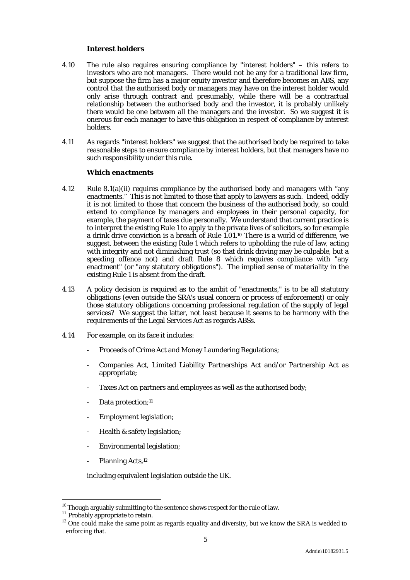#### *Interest holders*

- 4.10 The rule also requires ensuring compliance by "interest holders" this refers to investors who are not managers. There would not be any for a traditional law firm, but suppose the firm has a major equity investor and therefore becomes an ABS, any control that the authorised body or managers may have on the interest holder would only arise through contract and presumably, while there will be a contractual relationship between the authorised body and the investor, it is probably unlikely there would be one between all the managers and the investor. So we suggest it is onerous for each manager to have this obligation in respect of compliance by interest holders.
- 4.11 As regards "interest holders" we suggest that the authorised body be required to take reasonable steps to ensure compliance by interest holders, but that managers have no such responsibility under this rule.

#### *Which enactments*

- 4.12 Rule 8.1(a)(ii) requires compliance by the authorised body and managers with "any enactments." This is not limited to those that apply to lawyers as such. Indeed, oddly it is not limited to those that concern the business of the authorised body, so could extend to compliance by managers and employees in their personal capacity, for example, the payment of taxes due personally. We understand that current practice is to interpret the existing Rule 1 to apply to the private lives of solicitors, so for example a drink drive conviction is a breach of Rule 1.01.10 There is a world of difference, we suggest, between the existing Rule 1 which refers to upholding the rule of law, acting with integrity and not diminishing trust (so that drink driving may be culpable, but a speeding offence not) and draft Rule 8 which requires compliance with "any enactment" (or "any statutory obligations"). The implied sense of materiality in the existing Rule 1 is absent from the draft.
- 4.13 A policy decision is required as to the ambit of "enactments," is to be all statutory obligations (even outside the SRA's usual concern or process of enforcement) or only those statutory obligations concerning professional regulation of the supply of legal services? We suggest the latter, not least because it seems to be harmony with the requirements of the Legal Services Act as regards ABSs.
- 4.14 For example, on its face it includes:
	- Proceeds of Crime Act and Money Laundering Regulations;
	- Companies Act, Limited Liability Partnerships Act and/or Partnership Act as appropriate;
	- Taxes Act on partners and employees as well as the authorised body;
	- Data protection;<sup>11</sup>
	- Employment legislation;
	- Health & safety legislation;
	- Environmental legislation;
	- Planning Acts.<sup>12</sup>

including equivalent legislation outside the UK.

 $^{10}$  Though arguably submitting to the sentence shows respect for the rule of law.

<sup>&</sup>lt;sup>11</sup> Probably appropriate to retain.

<sup>&</sup>lt;sup>12</sup> One could make the same point as regards equality and diversity, but we know the SRA is wedded to enforcing that.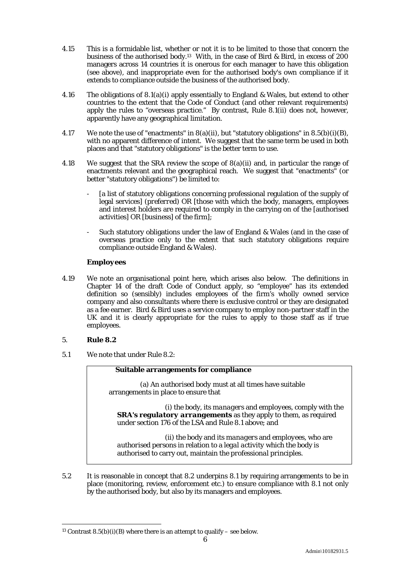- 4.15 This is a formidable list, whether or not it is to be limited to those that concern the business of the authorised body.13 With, in the case of Bird & Bird, in excess of 200 managers across 14 countries it is onerous for each manager to have this obligation (see above), and inappropriate even for the authorised body's own compliance if it extends to compliance outside the business of the authorised body.
- 4.16 The obligations of 8.1(a)(i) apply essentially to England & Wales, but extend to other countries to the extent that the Code of Conduct (and other relevant requirements) apply the rules to "overseas practice." By contrast, Rule 8.1(ii) does not, however, apparently have any geographical limitation.
- 4.17 We note the use of "enactments" in 8(a)(ii), but "statutory obligations" in 8.5(b)(i)(B), with no apparent difference of intent. We suggest that the same term be used in both places and that "statutory obligations" is the better term to use.
- 4.18 We suggest that the SRA review the scope of 8(a)(ii) and, in particular the range of enactments relevant and the geographical reach. We suggest that "enactments" (or better "statutory obligations") be limited to:
	- [a list of statutory obligations concerning professional regulation of the supply of legal services] *(preferred)* OR [those with which the body, managers, employees and interest holders are required to comply in the carrying on of the [authorised activities] OR [business] of the firm];
	- Such statutory obligations under the law of England & Wales (and in the case of overseas practice only to the extent that such statutory obligations require compliance outside England & Wales).

#### *Employees*

4.19 We note an organisational point here, which arises also below. The definitions in Chapter 14 of the draft Code of Conduct apply, so "employee" has its extended definition so (sensibly) includes employees of the firm's wholly owned service company and also consultants where there is exclusive control or they are designated as a fee earner. Bird & Bird uses a service company to employ non-partner staff in the UK and it is clearly appropriate for the rules to apply to those staff as if true employees.

#### 5. **Rule 8.2**

5.1 We note that under Rule 8.2:

#### **Suitable arrangements for compliance**

(a) An *authorised body* must at all times have suitable arrangements in place to ensure that

(i) the body, its *managers* and *employees*, comply with the *SRA***'s** *regulatory arrangements* as they apply to them, as required under section 176 of the *LSA* and Rule 8.1 above; and

(ii) the body and its *managers* and *employees*, who are *authorised persons* in relation to a *legal activity* which the body is authorised to carry out, maintain the *professional principles*.

5.2 It is reasonable in concept that 8.2 underpins 8.1 by requiring arrangements to be in place (monitoring, review, enforcement etc.) to ensure compliance with 8.1 not only by the authorised body, but also by its managers and employees.

 $\overline{a}$ <sup>13</sup> Contrast 8.5(b)(i)(B) where there is an attempt to qualify – see below.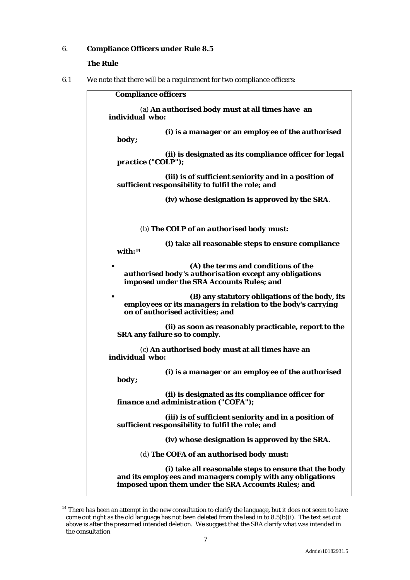#### 6. **Compliance Officers under Rule 8.5**

#### *The Rule*

 $\overline{a}$ 

6.1 We note that there will be a requirement for two compliance officers:

**Compliance officers**  (a) **An** *authorised body* **must at all times have an individual who: (i) is a** *manager* **or an** *employee* **of the** *authorised body***; (ii) is designated as its** *compliance officer for legal practice* **("***COLP***"); (iii) is of sufficient seniority and in a position of sufficient responsibility to fulfil the role; and (iv) whose designation is approved by the** *SRA*. (b) **The** *COLP* **of an** *authorised body* **must: (i) take all reasonable steps to ensure compliance with:14 (A) the terms and conditions of the**  *authorised body's authorisation* **except any obligations imposed under the SRA Accounts Rules; and (B) any statutory obligations of the body, its**  *employees* **or its** *managers* **in relation to the body's carrying on of authorised activities; and (ii) as soon as reasonably practicable, report to the**  *SRA* **any failure so to comply.** (c) **An** *authorised body* **must at all times have an individual who: (i) is a** *manager* **or an** *employee* **of the** *authorised body***; (ii) is designated as its** *compliance officer for finance and administration* **("***COFA***"); (iii) is of sufficient seniority and in a position of sufficient responsibility to fulfil the role; and (iv) whose designation is approved by the** *SRA***.**  (d) **The** *COFA* **of an** *authorised body* **must: (i) take all reasonable steps to ensure that the body and its** *employees* **and** *managers* **comply with any obligations imposed upon them under the SRA Accounts Rules; and** 

 $14$  There has been an attempt in the new consultation to clarify the language, but it does not seem to have come out right as the old language has not been deleted from the lead in to 8.5(b)(i). The text set out above is after the presumed intended deletion. We suggest that the SRA clarify what was intended in the consultation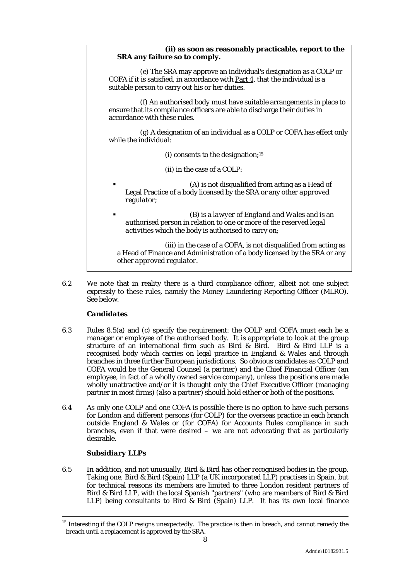#### **(ii) as soon as reasonably practicable, report to the**  *SRA* **any failure so to comply.**

(e) The *SRA* may approve an individual's designation as a *COLP* or *COFA* if it is satisfied, in accordance with Part 4, that the individual is a suitable person to carry out his or her duties.

(f) An *authorised body* must have suitable arrangements in place to ensure that its *compliance officer*s are able to discharge their duties in accordance with these rules.

(g) A designation of an individual as a *COLP* or *COFA* has effect only while the individual:

(i) consents to the designation;15

(ii) in the case of a *COLP*:

- (A) is not *disqualified* from acting as a Head of Legal Practice of a body licensed by the *SRA* or any other *approved regulator*;
- (B) is a *lawyer of England and Wales* and is an *authorised person* in relation to one or more of the *reserved legal activities* which the body is authorised to carry on;

(iii) in the case of a *COFA*, is not disqualified from acting as a Head of Finance and Administration of a body licensed by the *SRA* or any other *approved regulator*.

6.2 We note that in reality there is a third compliance officer, albeit not one subject expressly to these rules, namely the Money Laundering Reporting Officer (MLRO). See below.

#### *Candidates*

- 6.3 Rules 8.5(a) and (c) specify the requirement: the COLP and COFA must each be a manager or employee of the authorised body. It is appropriate to look at the group structure of an international firm such as Bird & Bird. Bird & Bird LLP is a recognised body which carries on legal practice in England & Wales and through branches in three further European jurisdictions. So obvious candidates as COLP and COFA would be the General Counsel (a partner) and the Chief Financial Officer (an employee, in fact of a wholly owned service company), unless the positions are made wholly unattractive and/or it is thought only the Chief Executive Officer (managing partner in most firms) (also a partner) should hold either or both of the positions.
- 6.4 As only one COLP and one COFA is possible there is no option to have such persons for London and different persons (for COLP) for the overseas practice in each branch outside England & Wales or (for COFA) for Accounts Rules compliance in such branches, even if that were desired – we are not advocating that as particularly desirable.

#### *Subsidiary LLPs*

6.5 In addition, and not unusually, Bird & Bird has other recognised bodies in the group. Taking one, Bird & Bird (Spain) LLP (a UK incorporated LLP) practises in Spain, but for technical reasons its members are limited to three London resident partners of Bird & Bird LLP, with the local Spanish "partners" (who are members of Bird & Bird LLP) being consultants to Bird  $\&$  Bird (Spain) LLP. It has its own local finance

<sup>&</sup>lt;sup>15</sup> Interesting if the COLP resigns unexpectedly. The practice is then in breach, and cannot remedy the breach until a replacement is approved by the SRA.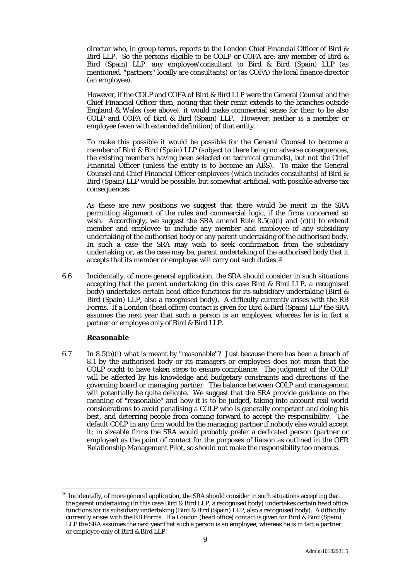director who, in group terms, reports to the London Chief Financial Officer of Bird & Bird LLP. So the persons eligible to be COLP or COFA are: any member of Bird & Bird (Spain) LLP, any employee/consultant to Bird & Bird (Spain) LLP (as mentioned, "partners" locally are consultants) or (as COFA) the local finance director (an employee).

However, if the COLP and COFA of Bird & Bird LLP were the General Counsel and the Chief Financial Officer then, noting that their remit extends to the branches outside England & Wales (see above), it would make commercial sense for their to be also COLP and COFA of Bird & Bird (Spain) LLP. However, neither is a member or employee (even with extended definition) of that entity.

To make this possible it would be possible for the General Counsel to become a member of Bird & Bird (Spain) LLP (subject to there being no adverse consequences, the existing members having been selected on technical grounds), but not the Chief Financial Officer (unless the entity is to become an ABS). To make the General Counsel and Chief Financial Officer employees (which includes consultants) of Bird & Bird (Spain) LLP would be possible, but somewhat artificial, with possible adverse tax consequences.

As these are new positions we suggest that there would be merit in the SRA permitting alignment of the rules and commercial logic, if the firms concerned so wish. Accordingly, we suggest the SRA amend Rule  $8.5(a)(i)$  and (c)(i) to extend member and employee to include any member and employee of any subsidiary undertaking of the authorised body or any parent undertaking of the authorised body. In such a case the SRA may wish to seek confirmation from the subsidiary undertaking or, as the case may be, parent undertaking of the authorised body that it accepts that its member or employee will carry out such duties.16

6.6 Incidentally, of more general application, the SRA should consider in such situations accepting that the parent undertaking (in this case Bird & Bird LLP, a recognised body) undertakes certain head office functions for its subsidiary undertaking (Bird & Bird (Spain) LLP, also a recognised body). A difficulty currently arises with the RB Forms. If a London (head office) contact is given for Bird & Bird (Spain) LLP the SRA assumes the next year that such a person is an employee, whereas he is in fact a partner or employee only of Bird & Bird LLP.

#### *Reasonable*

 $\overline{a}$ 

6.7 In 8.5(b)(i) what is meant by "reasonable"? Just because there has been a breach of 8.1 by the authorised body or its managers or employees does not mean that the COLP ought to have taken steps to ensure compliance. The judgment of the COLP will be affected by his knowledge and budgetary constraints and directions of the governing board or managing partner. The balance between COLP and management will potentially be quite delicate. We suggest that the SRA provide guidance on the meaning of "reasonable" and how it is to be judged, taking into account real world considerations to avoid penalising a COLP who is generally competent and doing his best, and deterring people from coming forward to accept the responsibility. The default COLP in any firm would be the managing partner if nobody else would accept it; in sizeable firms the SRA would probably prefer a dedicated person (partner or employee) as the point of contact for the purposes of liaison as outlined in the OFR Relationship Management Pilot, so should not make the responsibility too onerous.

 $16$  Incidentally, of more general application, the SRA should consider in such situations accepting that the parent undertaking (in this case Bird & Bird LLP, a recognised body) undertakes certain head office functions for its subsidiary undertaking (Bird & Bird (Spain) LLP, also a recognised body). A difficulty currently arises with the RB Forms. If a London (head office) contact is given for Bird & Bird (Spain) LLP the SRA assumes the next year that such a person is an employee, whereas he is in fact a partner or employee only of Bird & Bird LLP.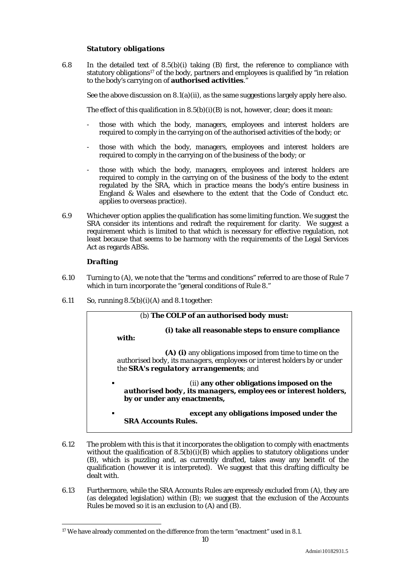#### *Statutory obligations*

6.8 In the detailed text of 8.5(b)(i) taking (B) first, the reference to compliance with statutory obligations<sup>17</sup> of the body, partners and employees is qualified by "in relation to the body's carrying on of **authorised activities**."

See the above discussion on  $8.1(a)(ii)$ , as the same suggestions largely apply here also.

The effect of this qualification in  $8.5(b)(i)(B)$  is not, however, clear; does it mean:

- those with which the body, managers, employees and interest holders are required to comply in the carrying on of the authorised activities of the body; or
- those with which the body, managers, employees and interest holders are required to comply in the carrying on of the business of the body; or
- those with which the body, managers, employees and interest holders are required to comply in the carrying on of the business of the body to the extent regulated by the SRA, which in practice means the body's entire business in England & Wales and elsewhere to the extent that the Code of Conduct etc. applies to overseas practice).
- 6.9 Whichever option applies the qualification has some limiting function. We suggest the SRA consider its intentions and redraft the requirement for clarity. We suggest a requirement which is limited to that which is necessary for effective regulation, not least because that seems to be harmony with the requirements of the Legal Services Act as regards ABSs.

#### *Drafting*

- 6.10 Turning to (A), we note that the "terms and conditions" referred to are those of Rule 7 which in turn incorporate the "general conditions of Rule 8."
- 6.11 So, running  $8.5(b)(i)(A)$  and  $8.1$  together:



- 6.12 The problem with this is that it incorporates the obligation to comply with enactments *without* the qualification of  $8.5(b)(i)(B)$  which applies to statutory obligations under (B), which is puzzling and, as currently drafted, takes away any benefit of the qualification (however it is interpreted). We suggest that this drafting difficulty be dealt with.
- 6.13 Furthermore, while the SRA Accounts Rules are expressly excluded from (A), they are (as delegated legislation) within (B); we suggest that the exclusion of the Accounts Rules be moved so it is an exclusion to (A) and (B).

<sup>&</sup>lt;sup>17</sup> We have already commented on the difference from the term "enactment" used in 8.1.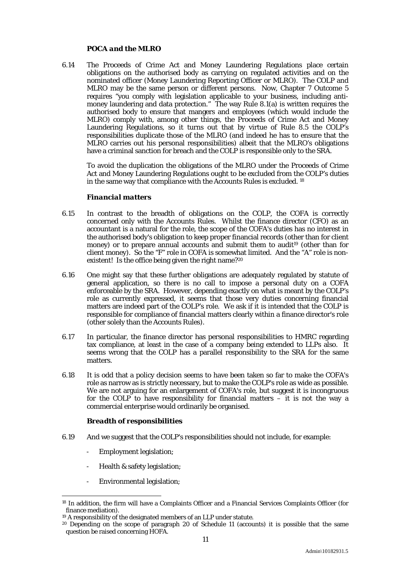#### *POCA and the MLRO*

6.14 The Proceeds of Crime Act and Money Laundering Regulations place certain obligations on the authorised body as carrying on regulated activities and on the nominated officer (Money Laundering Reporting Officer or MLRO). The COLP and MLRO may be the same person or different persons. Now, Chapter 7 Outcome 5 requires "you comply with legislation applicable to your business, including antimoney laundering and data protection." The way Rule 8.1(a) is written requires the authorised body to ensure that mangers and employees (which would include the MLRO) comply with, among other things, the Proceeds of Crime Act and Money Laundering Regulations, so it turns out that by virtue of Rule 8.5 the COLP's responsibilities duplicate those of the MLRO (and indeed he has to ensure that the MLRO carries out his personal responsibilities) albeit that the MLRO's obligations have a criminal sanction for breach and the COLP is responsible only to the SRA.

To avoid the duplication the obligations of the MLRO under the Proceeds of Crime Act and Money Laundering Regulations ought to be excluded from the COLP's duties in the same way that compliance with the Accounts Rules is excluded. 18

#### *Financial matters*

- 6.15 In contrast to the breadth of obligations on the COLP, the COFA is correctly concerned only with the Accounts Rules. Whilst the finance director (CFO) as an accountant is a natural for the role, the scope of the COFA's duties has no interest in the authorised body's obligation to keep proper financial records (other than for client money) or to prepare annual accounts and submit them to audit<sup>19</sup> (other than for client money). So the "F" role in COFA is somewhat limited. And the "A" role is nonexistent! Is the office being given the right name?<sup>20</sup>
- 6.16 One might say that these further obligations are adequately regulated by statute of general application, so there is no call to impose a personal duty on a COFA enforceable by the SRA. However, depending exactly on what is meant by the COLP's role as currently expressed, it seems that those very duties concerning financial matters are indeed part of the COLP's role. We ask if it is intended that the COLP is responsible for compliance of financial matters clearly within a finance director's role (other solely than the Accounts Rules).
- 6.17 In particular, the finance director has personal responsibilities to HMRC regarding tax compliance, at least in the case of a company being extended to LLPs also. It seems wrong that the COLP has a parallel responsibility to the SRA for the same matters.
- 6.18 It is odd that a policy decision seems to have been taken so far to make the COFA's role as narrow as is strictly necessary, but to make the COLP's role as wide as possible. We are not arguing for an enlargement of COFA's role, but suggest it is incongruous for the COLP to have responsibility for financial matters – it is not the way a commercial enterprise would ordinarily be organised.

#### *Breadth of responsibilities*

- 6.19 And we suggest that the COLP's responsibilities should not include, for example:
	- Employment legislation;
	- Health & safety legislation;
	- Environmental legislation;

<sup>&</sup>lt;sup>18</sup> In addition, the firm will have a Complaints Officer and a Financial Services Complaints Officer (for finance mediation).<br><sup>19</sup> A responsibility of the designated members of an LLP under statute.

 $20$  Depending on the scope of paragraph 20 of Schedule 11 (accounts) it is possible that the same question be raised concerning HOFA.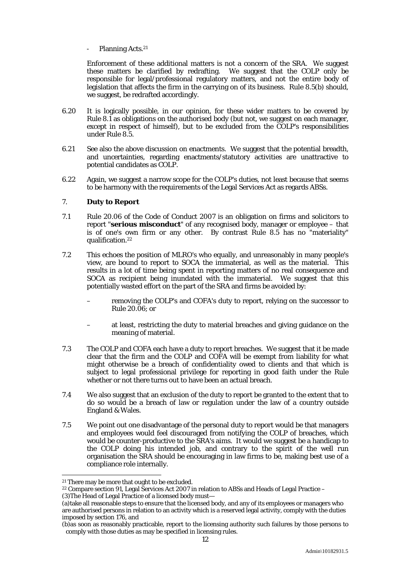Planning Acts.<sup>21</sup>

Enforcement of these additional matters is not a concern of the SRA. We suggest these matters be clarified by redrafting. We suggest that the COLP only be responsible for legal/professional regulatory matters, and not the entire body of legislation that affects the firm in the carrying on of its business. Rule 8.5(b) should, we suggest, be redrafted accordingly.

- 6.20 It is logically possible, in our opinion, for these wider matters to be covered by Rule 8.1 as obligations on the authorised body (but not, we suggest on each manager, except in respect of himself), but to be excluded from the COLP's responsibilities under Rule 8.5.
- 6.21 See also the above discussion on enactments. We suggest that the potential breadth, and uncertainties, regarding enactments/statutory activities are unattractive to potential candidates as COLP.
- 6.22 Again, we suggest a narrow scope for the COLP's duties, not least because that seems to be harmony with the requirements of the Legal Services Act as regards ABSs.

#### 7. **Duty to Report**

- 7.1 Rule 20.06 of the Code of Conduct 2007 is an obligation on firms and solicitors to report "**serious misconduct**" of any recognised body, manager or employee – that is of one's own firm or any other. By contrast Rule 8.5 has no "materiality" qualification.22
- 7.2 This echoes the position of MLRO's who equally, and unreasonably in many people's view, are bound to report to SOCA the immaterial, as well as the material. This results in a lot of time being spent in reporting matters of no real consequence and SOCA as recipient being inundated with the immaterial. We suggest that this potentially wasted effort on the part of the SRA and firms be avoided by:
	- removing the COLP's and COFA's duty to report, relying on the successor to Rule 20.06; or
	- at least, restricting the duty to material breaches and giving guidance on the meaning of material.
- 7.3 The COLP and COFA each have a duty to report breaches. We suggest that it be made clear that the firm and the COLP and COFA will be exempt from liability for what might otherwise be a breach of confidentiality owed to clients and that which is subject to legal professional privilege for reporting in good faith under the Rule whether or not there turns out to have been an actual breach.
- 7.4 We also suggest that an exclusion of the duty to report be granted to the extent that to do so would be a breach of law or regulation under the law of a country outside England & Wales.
- 7.5 We point out one disadvantage of the personal duty to report would be that managers and employees would feel discouraged from notifying the COLP of breaches, which would be counter-productive to the SRA's aims. It would we suggest be a handicap to the COLP doing his intended job, and contrary to the spirit of the well run organisation the SRA should be encouraging in law firms to be, making best use of a compliance role internally.

<sup>&</sup>lt;sup>21</sup> There may be more that ought to be excluded.

<sup>22</sup> Compare section 91, Legal Services Act 2007 in relation to ABSs and Heads of Legal Practice –

<sup>(3)</sup>The Head of Legal Practice of a licensed body must—

<sup>(</sup>a)take all reasonable steps to ensure that the licensed body, and any of its employees or managers who are authorised persons in relation to an activity which is a reserved legal activity, comply with the duties imposed by section 176, and

<sup>(</sup>b)as soon as reasonably practicable, report to the licensing authority such failures by those persons to comply with those duties as may be specified in licensing rules.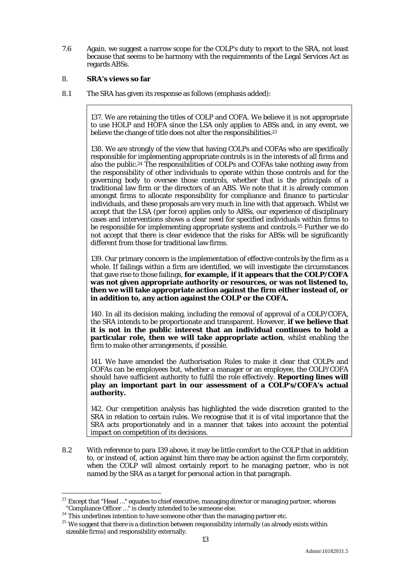7.6 Again. we suggest a narrow scope for the COLP's duty to report to the SRA, not least because that seems to be harmony with the requirements of the Legal Services Act as regards ABSs.

#### 8. **SRA's views so far**

8.1 The SRA has given its response as follows (emphasis added):

137. We are retaining the titles of COLP and COFA. We believe it is not appropriate to use HOLP and HOFA since the LSA only applies to ABSs and, in any event, we believe the change of title does not alter the responsibilities.<sup>23</sup>

138. We are strongly of the view that having COLPs and COFAs who are specifically responsible for implementing appropriate controls is in the interests of all firms and also the public.24 The responsibilities of COLPs and COFAs take nothing away from the responsibility of other individuals to operate within those controls and for the governing body to oversee those controls, whether that is the principals of a traditional law firm or the directors of an ABS. We note that it is already common amongst firms to allocate responsibility for compliance and finance to particular individuals, and these proposals are very much in line with that approach. Whilst we accept that the LSA (*per force*) applies only to ABSs, our experience of disciplinary cases and interventions shows a clear need for specified individuals within firms to be responsible for implementing appropriate systems and controls.25 Further we do not accept that there is clear evidence that the risks for ABSs will be significantly different from those for traditional law firms.

139. Our primary concern is the implementation of effective controls by the firm as a whole. If failings within a firm are identified, we will investigate the circumstances that gave rise to those failings, **for example, if it appears that the COLP/COFA was not given appropriate authority or resources, or was not listened to, then we will take appropriate action against the firm either instead of, or in addition to, any action against the COLP or the COFA.**

140. In all its decision making, including the removal of approval of a COLP/COFA, the SRA intends to be proportionate and transparent. However, **if we believe that it is not in the public interest that an individual continues to hold a particular role, then we will take appropriate action**, whilst enabling the firm to make other arrangements, if possible.

141. We have amended the Authorisation Rules to make it clear that COLPs and COFAs can be employees but, whether a manager or an employee, the COLP/COFA should have sufficient authority to fulfil the role effectively. **Reporting lines will play an important part in our assessment of a COLP's/COFA's actual authority.**

142. Our competition analysis has highlighted the wide discretion granted to the SRA in relation to certain rules. We recognise that it is of vital importance that the SRA acts proportionately and in a manner that takes into account the potential impact on competition of its decisions.

8.2 With reference to para 139 above, it may be little comfort to the COLP that in addition to, or instead of, action against him there may be action against the firm corporately, when the COLP will almost certainly report to he managing partner, who is not named by the SRA as a target for personal action in that paragraph.

 $^{23}$  Except that "Head ..." equates to chief executive, managing director or managing partner, whereas "Compliance Officer ..." is clearly intended to be someone else.<br><sup>24</sup> This underlines intention to have someone other than the managing partner etc.

 $25$  We suggest that there is a distinction between responsibility internally (as already exists within sizeable firms) and responsibility externally.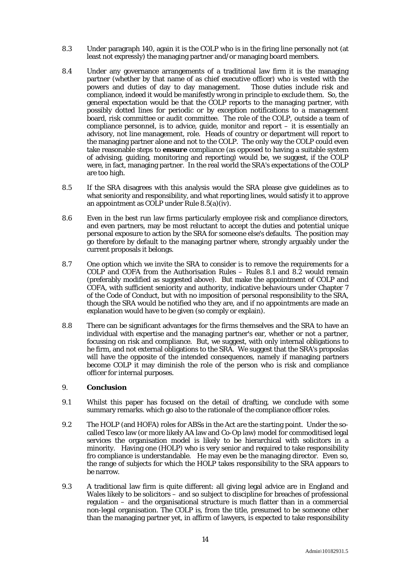- 8.3 Under paragraph 140, again it is the COLP who is in the firing line personally not (at least not expressly) the managing partner and/or managing board members.
- 8.4 Under any governance arrangements of a traditional law firm it is the managing partner (whether by that name of as chief executive officer) who is vested with the powers and duties of day to day management. Those duties include risk and compliance, indeed it would be manifestly wrong in principle to exclude them. So, the general expectation would be that the COLP reports to the managing partner, with possibly dotted lines for periodic or by exception notifications to a management board, risk committee or audit committee. The role of the COLP, outside a team of compliance personnel, is to advice, guide, monitor and report – it is essentially an advisory, not line management, role. Heads of country or department will report to the managing partner alone and not to the COLP. The only way the COLP could even take reasonable steps to **ensure** compliance (as opposed to having a suitable system of advising, guiding, monitoring and reporting) would be, we suggest, if the COLP were, in fact, managing partner. In the real world the SRA's expectations of the COLP are too high.
- 8.5 If the SRA disagrees with this analysis would the SRA please give guidelines as to what seniority and responsibility, and what reporting lines, would satisfy it to approve an appointment as COLP under Rule 8.5(a)(iv).
- 8.6 Even in the best run law firms particularly employee risk and compliance directors, and even partners, may be most reluctant to accept the duties and potential unique personal exposure to action by the SRA for someone else's defaults. The position may go therefore by default to the managing partner where, strongly arguably under the current proposals it belongs.
- 8.7 One option which we invite the SRA to consider is to remove the requirements for a COLP and COFA from the Authorisation Rules – Rules 8.1 and 8.2 would remain (preferably modified as suggested above). But make the appointment of COLP and COFA, with sufficient seniority and authority, indicative behaviours under Chapter 7 of the Code of Conduct, but with no imposition of personal responsibility to the SRA, though the SRA would be notified who they are, and if no appointments are made an explanation would have to be given (so comply or explain).
- 8.8 There can be significant advantages for the firms themselves and the SRA to have an individual with expertise and the managing partner's ear, whether or not a partner, focussing on risk and compliance. But, we suggest, with only internal obligations to he firm, and not external obligations to the SRA. We suggest that the SRA's proposlas will have the opposite of the intended consequences, namely if managing partners become COLP it may diminish the role of the person who is risk and compliance officer for internal purposes.

#### 9. **Conclusion**

- 9.1 Whilst this paper has focused on the detail of drafting, we conclude with some summary remarks. which go also to the rationale of the compliance officer roles.
- 9.2 The HOLP (and HOFA) roles for ABSs in the Act are the starting point. Under the socalled Tesco law (or more likely AA law and Co-Op law) model for commoditised legal services the organisation model is likely to be hierarchical with solicitors in a minority. Having one (HOLP) who is very senior and required to take responsibility fro compliance is understandable. He may even be the managing director. Even so, the range of subjects for which the HOLP takes responsibility to the SRA appears to be narrow.
- 9.3 A traditional law firm is quite different: all giving legal advice are in England and Wales likely to be solicitors – and so subject to discipline for breaches of professional regulation – and the organisational structure is much flatter than in a commercial non-legal organisation. The COLP is, from the title, presumed to be someone other than the managing partner yet, in affirm of lawyers, is expected to take responsibility